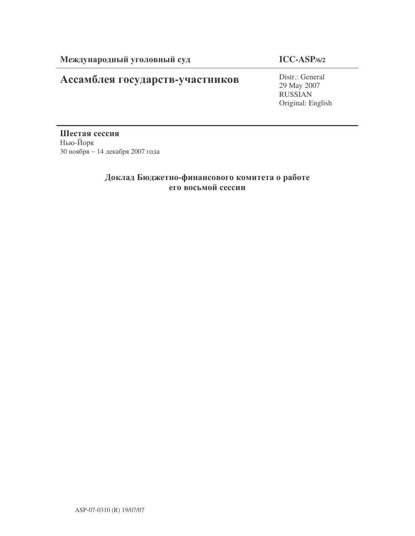# Ассамблея государств-участников

**ICC-ASP/6/2**

Distr.: General 29 May 2007 RUSSIAN Original: English

Шестая сессия Нью-Йорк 30 ноября - 14 декабря 2007 года

## Доклад Бюджетно-финансового комитета о работе его восьмой сессии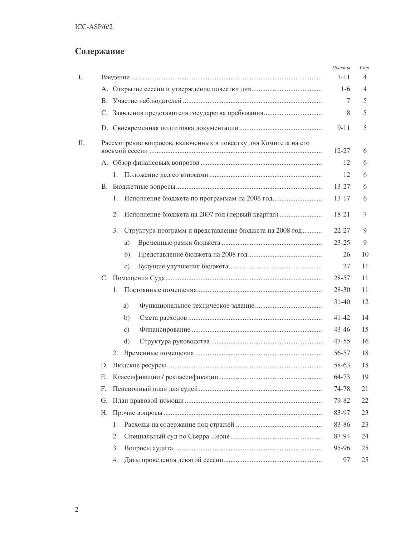# Содержание

| Ι. |    |                                                                  | Пункты<br>$1 - 11$ | Cmp.<br>4      |
|----|----|------------------------------------------------------------------|--------------------|----------------|
|    |    |                                                                  | $1-6$              | $\overline{4}$ |
|    |    |                                                                  | 7                  | 5              |
|    |    |                                                                  | 8                  | 5              |
|    |    |                                                                  | $9 - 11$           | 5              |
| Π. |    | Рассмотрение вопросов, включенных в повестку дня Комитета на его | $12 - 27$          | 6              |
|    |    |                                                                  | 12                 | 6              |
|    |    | 1.                                                               | 12                 | 6              |
|    |    |                                                                  | $13 - 27$          | 6              |
|    |    | 1.                                                               | $13 - 17$          | 6              |
|    |    | 2.                                                               | 18-21              | 7              |
|    |    | Структура программ и представление бюджета на 2008 год<br>3.     | $22 - 27$          | 9              |
|    |    | a)                                                               | $23 - 25$          | 9              |
|    |    | b)                                                               | 26                 | 10             |
|    |    | C)                                                               | 27                 | 11             |
|    |    |                                                                  | 28-57              | 11             |
|    |    | 1.                                                               | $28 - 30$          | 11             |
|    |    | a)                                                               | $31 - 40$          | 12             |
|    |    | b)                                                               | $41 - 42$          | 14             |
|    |    | c)                                                               | 43-46              | 15             |
|    |    | d)                                                               | $47 - 55$          | 16             |
|    |    | 2.                                                               | 56-57              | 18             |
|    |    |                                                                  | 58-63              | 18             |
|    | Е. |                                                                  | 64-73              | 19             |
|    | F. |                                                                  | 74-78              | 21             |
|    | G. |                                                                  | 79-82              | 22             |
|    | Н. |                                                                  | 83-97              | 23             |
|    |    | 1.                                                               | 83-86              | 23             |
|    |    | 2.                                                               | 87-94              | 24             |
|    |    | 3.                                                               | 95-96              | 25             |
|    |    | 4.                                                               | 97                 | 25             |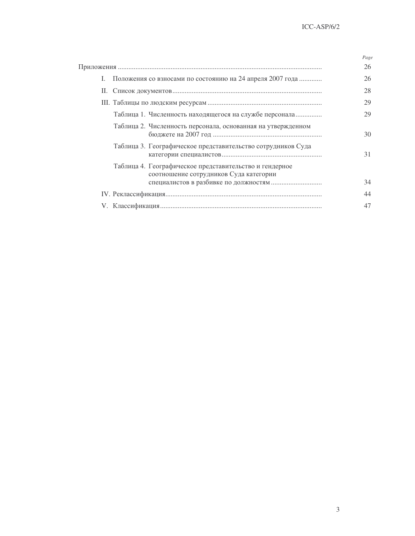|                                                                                                   | Page |
|---------------------------------------------------------------------------------------------------|------|
|                                                                                                   | 26   |
| I. Положения со взносами по состоянию на 24 апреля 2007 года                                      | 26   |
| П.                                                                                                | 28   |
|                                                                                                   | 29   |
| Таблица 1. Численность находящегося на службе персонала                                           | 29   |
| Таблица 2. Численность персонала, основанная на утвержденном                                      | 30   |
| Таблица 3. Географическое представительство сотрудников Суда                                      | 31   |
| Таблица 4. Географическое представительство и гендерное<br>соотношение сотрудников Суда категории |      |
|                                                                                                   | 34   |
|                                                                                                   | 44   |
|                                                                                                   | 47   |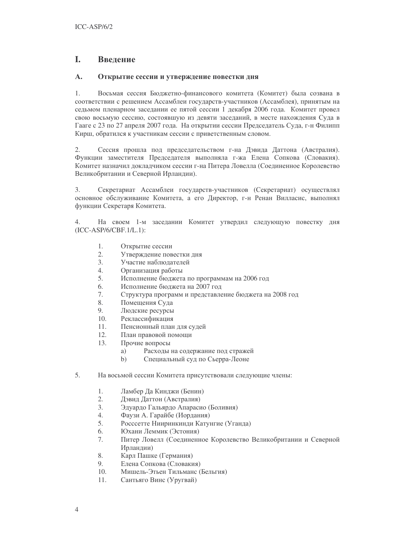## L. Введение

## $\mathbf{A}$ . Открытие сессии и утверждение повестки дня

 $1.$ Восьмая сессия Бюджетно-финансового комитета (Комитет) была созвана в соответствии с решением Ассамблеи государств-участников (Ассамблея), принятым на седьмом пленарном заседании ее пятой сессии 1 декабря 2006 года. Комитет провел свою восьмую сессию, состоявшую из девяти заседаний, в месте нахождения Суда в Гааге с 23 по 27 апреля 2007 года. На открытии сессии Председатель Суда, г-н Филипп Кирш, обратился к участникам сессии с приветственным словом.

 $2.$ Сессия прошла под председательством г-на Дэвида Даттона (Австралия). Функции заместителя Председателя выполняла г-жа Елена Сопкова (Словакия). Комитет назначил докладчиком сессии г-на Питера Ловелла (Соединенное Королевство Великобритании и Северной Ирландии).

3. Секретариат Ассамблеи государств-участников (Секретариат) осуществлял основное обслуживание Комитета, а его Директор, г-н Ренан Вилласис, выполнял функции Секретаря Комитета.

 $\overline{4}$ . На своем 1-м заседании Комитет утвердил следующую повестку дня  $(ICC-ASP/6/CBF.1/L.1):$ 

- 1. Открытие сессии
- $2.$ Утверждение повестки дня
- $\mathcal{E}$ Участие наблюлателей
- $\overline{4}$ Организация работы
- 5. Исполнение бюджета по программам на 2006 год
- 6. Исполнение бюджета на 2007 год
- 7. Структура программ и представление бюджета на 2008 год
- 8. Помещения Суда
- 9. Людские ресурсы
- 10. Реклассификация
- $11.$ Пенсионный план для судей
- $12.$ План правовой помощи
- 13. Прочие вопросы
	- Расходы на содержание под стражей a)
	- $b)$ Специальный суд по Сьерра-Леоне
- 5. На восьмой сессии Комитета присутствовали следующие члены:
	- $1.$ Ламбер Да Кинджи (Бенин)
	- $2.$ Дэвид Даттон (Австралия)
	- $\overline{3}$ . Эдуардо Гальярдо Апарасио (Боливия)
	- $\overline{4}$ . Фаузи А. Гарайбе (Иордания)
	- 5. Россетте Нииринкинди Катунгие (Уганда)
	- 6. Юхани Леммик (Эстония)
	- 7. Питер Ловелл (Соединенное Королевство Великобритании и Северной Ирландии)
	- 8. Карл Пашке (Германия)
	- $Q_{1}$ Елена Сопкова (Словакия)
	- 10. Мишель-Этьен Тильманс (Бельгия)
	- 11. Сантьяго Винс (Уругвай)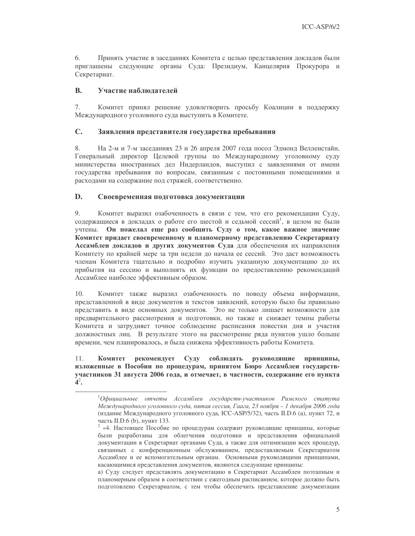Принять участие в заседаниях Комитета с целью представления докладов были 6. приглашены следующие органы Суда: Президиум, Канцелярия Прокурора и Секретариат.

## **B.** Участие наблюлателей

7. Комитет принял решение удовлетворить просьбу Коалиции в поддержку Международного уголовного суда выступить в Комитете.

## $\mathbf{C}$ . Заявления представителя государства пребывания

8. На 2-м и 7-м заседаниях 23 и 26 апреля 2007 года посол Эдмонд Велленстайн, Генеральный директор Целевой группы по Международному уголовному суду министерства иностранных дел Нидерландов, выступил с заявлениями от имени государства пребывания по вопросам, связанным с постоянными помещениями и расходами на содержание под стражей, соответственно.

## D. Своевременная подготовка документации

9. Комитет выразил озабоченность в связи с тем, что его рекомендации Суду, содержащиеся в докладах о работе его шестой и седьмой сессий<sup>1</sup>, в целом не были учтены. Он пожелал еще раз сообщить Суду о том, какое важное значение Комитет придает своевременному и планомерному представлению Секретариату Ассамблеи докладов и других документов Суда для обеспечения их направления Комитету по крайней мере за три недели до начала ее сессий. Это даст возможность членам Комитета тщательно и подробно изучить указанную документацию до их прибытия на сессию и выполнять их функции по предоставлению рекомендаций Ассамблее наиболее эффективным образом.

Комитет также выразил озабоченность по поводу объема информации,  $10.$ представленной в виде документов и текстов заявлений, которую было бы правильно представить в виде основных документов. Это не только лишает возможности для предварительного рассмотрения и подготовки, но также и снижает темпы работы Комитета и затрудняет точное соблюдение расписания повестки дня и участия должностных лиц. В результате этого на рассмотрение ряда пунктов ушло больше времени, чем планировалось, и была снижена эффективность работы Комитета.

#### $11.$ рекомендует Суду соблюдать Комитет руководящие принципы, изложенные в Пособии по процедурам, принятом Бюро Ассамблеи государствучастников 31 августа 2006 года, и отмечает, в частности, содержание его пункта  $4^2$ .

 ${}^{1}O$ фициальные отчеты Ассамблеи государств-участников Римского статута Международного уголовного суда, пятая сессия, Гаага, 23 ноября - 1 декабря 2006 года (издание Международного уголовного суда, ICC-ASP/5/32), часть II.D.6 (а), пункт 72, и часть II.D.6 (b), пункт 133.

<sup>&</sup>lt;sup>2</sup> «4. Настоящее Пособие по процедурам содержит руководящие принципы, которые были разработаны для облегчения подготовки и представления официальной документации в Секретариат органами Суда, а также для оптимизации всех процедур, связанных с конференционным обслуживанием, предоставляемым Секретариатом Ассамблее и ее вспомогательным органам. Основными руководящими принципами, касающимися представления документов, являются следующие принципы:

а) Суду следует представлять документацию в Секретариат Ассамблеи поэтапным и планомерным образом в соответствии с ежегодным расписанием, которое должно быть подготовлено Секретариатом, с тем чтобы обеспечить представление документации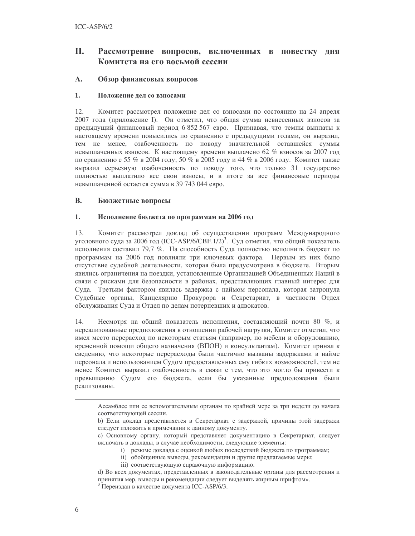## П. Рассмотрение вопросов, включенных в повестку дня Комитета на его восьмой сессии

## A. Обзор финансовых вопросов

### $1.$ Положение дел со взносами

 $12<sup>°</sup>$ Комитет рассмотрел положение дел со взносами по состоянию на 24 апреля 2007 года (приложение I). Он отметил, что общая сумма невнесенных взносов за предыдущий финансовый период 6 852 567 евро. Признавая, что темпы выплаты к настоящему времени повысились по сравнению с предыдущими годами, он выразил, тем не менее, озабоченность по поводу значительной оставшейся суммы невыплаченных взносов. К настоящему времени выплачено 62 % взносов за 2007 год по сравнению с 55 % в 2004 году; 50 % в 2005 году и 44 % в 2006 году. Комитет также выразил серьезную озабоченность по поводу того, что только 31 государство полностью выплатило все свои взносы, и в итоге за все финансовые периоды невыплаченной остается сумма в 39 743 044 евро.

## **B.** Бюджетные вопросы

#### $1.$ Исполнение бюджета по программам на 2006 год

 $13.$ Комитет рассмотрел доклад об осуществлении программ Международного уголовного суда за 2006 год (ICC-ASP/6/CBF.1/2)<sup>3</sup>. Суд отметил, что общий показатель исполнения составил 79,7 %. На способность Суда полностью исполнить бюджет по программам на 2006 год повлияли три ключевых фактора. Первым из них было отсутствие судебной деятельности, которая была предусмотрена в бюджете. Вторым явились ограничения на поездки, установленные Организацией Объединенных Наций в связи с рисками для безопасности в районах, представляющих главный интерес для Суда. Третьим фактором явилась задержка с наймом персонала, которая затронула Судебные органы, Канцелярию Прокурора и Секретариат, в частности Отдел обслуживания Суда и Отдел по делам потерпевших и адвокатов.

14. Несмотря на общий показатель исполнения, составляющий почти 80 %, и нереализованные предположения в отношении рабочей нагрузки, Комитет отметил, что имел место перерасход по некоторым статьям (например, по мебели и оборудованию, временной помощи общего назначения (ВПОН) и консультантам). Комитет принял к сведению, что некоторые перерасходы были частично вызваны задержками в найме персонала и использованием Судом предоставленных ему гибких возможностей, тем не менее Комитет выразил озабоченность в связи с тем, что это могло бы привести к превышению Судом его бюджета, если бы указанные предположения были реализованы.

- і) резюме доклада с оценкой любых последствий бюджета по программам;
- іі) обобщенные выводы, рекомендации и другие предлагаемые меры;
- iii) соответствующую справочную информацию.
- d) Во всех документах, представленных в законодательные органы для рассмотрения и принятия мер, выводы и рекомендации следует выделять жирным шрифтом».

Ассамблее или ее вспомогательным органам по крайней мере за три недели до начала соответствующей сессии.

b) Если доклад представляется в Секретариат с задержкой, причины этой задержки следует изложить в примечании к данному документу.

с) Основному органу, который представляет документацию в Секретариат, следует включать в доклады, в случае необходимости, следующие элементы:

<sup>&</sup>lt;sup>3</sup> Переиздан в качестве документа ICC-ASP/6/3.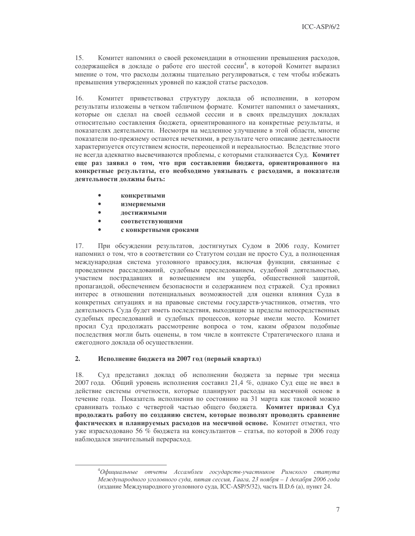$15.$ Комитет напомнил о своей рекомендации в отношении превышения расходов, содержащейся в докладе о работе его шестой сессии<sup>4</sup>, в которой Комитет выразил мнение о том, что расходы должны тщательно регулироваться, с тем чтобы избежать превышения утвержденных уровней по каждой статье расходов.

 $16<sup>2</sup>$ Комитет приветствовал структуру доклада об исполнении, в котором результаты изложены в четком табличном формате. Комитет напомнил о замечаниях, которые он сделал на своей седьмой сессии и в своих предыдущих докладах относительно составления бюджета, ориентированного на конкретные результаты, и показателях деятельности. Несмотря на медленное улучшение в этой области, многие показатели по-прежнему остаются нечеткими, в результате чего описание деятельности характеризуется отсутствием ясности, переоценкой и нереальностью. Вследствие этого не всегда адекватно высвечиваются проблемы, с которыми сталкивается Суд. Комитет еще раз заявил о том, что при составлении бюджета, ориентированного на конкретные результаты, его необходимо увязывать с расходами, а показатели деятельности должны быть:

- конкретными
- $\bullet$ измеряемыми
- $\bullet$ достижимыми
- $\bullet$ соответствующими
- $\bullet$ с конкретными сроками

17. При обсуждении результатов, достигнутых Судом в 2006 году, Комитет напомнил о том, что в соответствии со Статутом создан не просто Суд, а полноценная международная система уголовного правосудия, включая функции, связанные с проведением расследований, судебным преследованием, судебной деятельностью, участием пострадавших и возмещением им ущерба, общественной защитой, пропагандой, обеспечением безопасности и содержанием под стражей. Суд проявил интерес в отношении потенциальных возможностей для оценки влияния Суда в конкретных ситуациях и на правовые системы государств-участников, отметив, что деятельность Суда будет иметь последствия, выходящие за пределы непосредственных судебных преследований и судебных процессов, которые имели место. Комитет просил Суд продолжать рассмотрение вопроса о том, каким образом подобные последствия могли быть оценены, в том числе в контексте Стратегического плана и ежегодного доклада об осуществлении.

### $2.$ Исполнение бюджета на 2007 год (первый квартал)

18. Суд представил доклад об исполнении бюджета за первые три месяца 2007 года. Общий уровень исполнения составил 21,4 %, однако Суд еще не ввел в действие системы отчетности, которые планируют расходы на месячной основе в течение года. Показатель исполнения по состоянию на 31 марта как таковой можно сравнивать только с четвертой частью общего бюджета. Комитет призвал Суд продолжать работу по созданию систем, которые позволят проводить сравнение фактических и планируемых расходов на месячной основе. Комитет отметил, что уже израсходовано 56 % бюджета на консультантов - статья, по которой в 2006 году наблюдался значительный перерасход.

<sup>&</sup>lt;sup>4</sup>Официальные отчеты Ассамблеи государств-участников Римского статута Международного уголовного суда, пятая сессия, Гаага, 23 ноября - 1 декабря 2006 года (издание Международного уголовного суда, ICC-ASP/5/32), часть II.D.6 (а), пункт 24.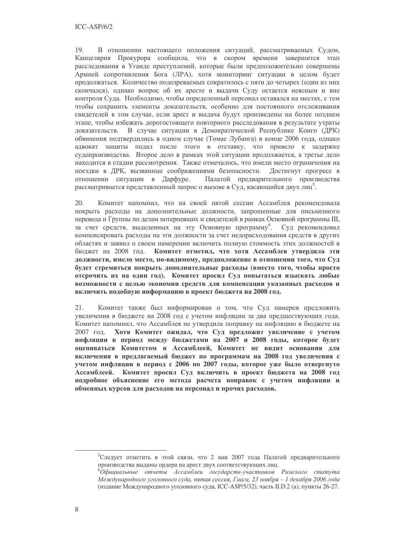$19<sub>1</sub>$ В отношении настоящего положения ситуаций, рассматриваемых Судом, Канцелярия Прокурора сообщила, что в скором времени завершится этап расследования в Уганде преступлений, которые были предположительно совершены Армией сопротивления Бога (ЛРА), хотя мониторинг ситуации в целом будет продолжаться. Количество подозреваемых сократилось с пяти до четырех (один из них скончался), однако вопрос об их аресте и выдачи Суду остается неясным и вне контроля Суда. Необходимо, чтобы определенный персонал оставался на местах, с тем чтобы сохранить элементы доказательств, особенно для постоянного отслеживания свидетелей в том случае, если арест и выдача будут произведены на более позднем этапе, чтобы избежать дорогостоящего повторного расследования в результате утраты В случае ситуации в Демократической Республике Конго (ДРК) доказательств. обвинения подтвердились в одном случае (Томас Лубанга) в конце 2006 года, однако адвокат защиты подал после этого в отставку, что привело к задержке судопроизводства. Второе дело в рамках этой ситуации продолжается, а третье дело находится в стадии рассмотрения. Также отмечалось, что имели место ограничения на поездки в ДРК, вызванные соображениями безопасности. Достигнут прогресс в отношении ситуации в Дарфуре. Палатой предварительного производства рассматривается представленный запрос о вызове в Суд, касающийся двух лиц<sup>5</sup>.

20. Комитет напомнил, что на своей пятой сессии Ассамблея рекомендовала покрыть расходы на дополнительные должности, запрошенные для письменного перевода и Группы по делам потерпевших и свидетелей в рамках Основной программы III, за счет средств, выделенных на эту Основную программу<sup>6</sup>. Суд рекомендовал компенсировать расходы на эти должности за счет недорасходования средств в других областях и заявил о своем намерении включить полную стоимость этих должностей в бюджет на 2008 год. Комитет отметил, что хотя Ассамблея утвердила эти должности, имело место, по-видимому, предположение в отношении того, что Суд будет стремиться покрыть дополнительные расходы (вместо того, чтобы просто отсрочить их на один год). Комитет просил Суд попытаться изыскать любые возможности с целью экономии средств для компенсации указанных расходов и включить подобную информацию в проект бюджета на 2008 год.

21. Комитет также был информирован о том, что Суд намерен предложить увеличения в бюджете на 2008 год с учетом инфляции за два предшествующих года. Комитет напомнил, что Ассамблея не утвердила поправку на инфляцию в бюджете на 2007 год. Хотя Комитет ожидал, что Суд предложит увеличение с учетом инфляции в период между бюджетами на 2007 и 2008 годы, которое будет оцениваться Комитетом и Ассамблеей, Комитет не видит основания для включения в предлагаемый бюджет по программам на 2008 год увеличения с учетом инфляции в период с 2006 по 2007 годы, которое уже было отвергнуто Ассамблеей. Комитет просил Суд включить в проект бюджета на 2008 год подробное объяснение его метода расчета поправок с учетом инфляции и обменных курсов для расходов на персонал и прочих расходов.

<sup>&</sup>lt;sup>5</sup>Следует отметить в этой связи, что 2 мая 2007 года Палатой предварительного производства выданы ордера на арест двух соответствующих лиц.

 $^6$ Официальные отчеты Ассамблеи государств-участников Римского статута Международного уголовного суда, пятая сессия, Гаага, 23 ноября - 1 декабря 2006 года (издание Международного уголовного суда, ICC-ASP/5/32), часть II.D.2 (а), пункты 26-27.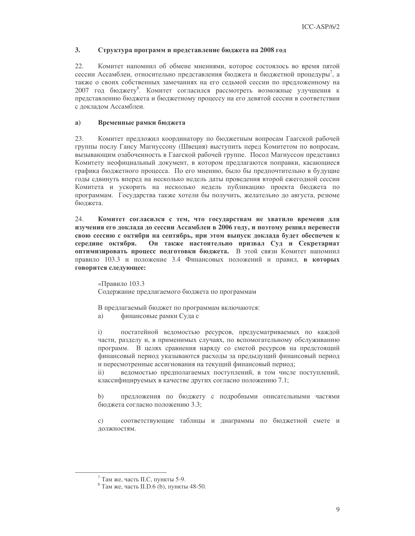### $3<sub>1</sub>$ Структура программ и представление бюджета на 2008 год

 $22.$ Комитет напомнил об обмене мнениями, которое состоялось во время пятой сессии Ассамблеи, относительно представления бюджета и бюджетной процедуры<sup>7</sup>, а также о своих собственных замечаниях на его седьмой сессии по предложенному на 2007 год бюджету<sup>8</sup>. Комитет согласился рассмотреть возможные улучшения к представлению бюджета и бюджетному процессу на его девятой сессии в соответствии с докладом Ассамблеи.

### $a)$ Временные рамки бюджета

23. Комитет предложил координатору по бюджетным вопросам Гаагской рабочей группы послу Гансу Магнуссону (Швеция) выступить перед Комитетом по вопросам, вызывающим озабоченность в Гаагской рабочей группе. Посол Магнуссон представил Комитету неофициальный документ, в котором предлагаются поправки, касающиеся графика бюджетного процесса. По его мнению, было бы предпочтительно в будущие годы сдвинуть вперед на несколько недель даты проведения второй ежегодной сессии Комитета и ускорить на несколько недель публикацию проекта бюджета по программам. Государства также хотели бы получить, желательно до августа, резюме бюджета.

 $24$ Комитет согласился с тем, что государствам не хватило времени для изучения его доклада до сессии Ассамблеи в 2006 году, и поэтому решил перенести свою сессию с октября на сентябрь, при этом выпуск доклада будет обеспечен к середине октября. Он также настоятельно призвал Суд и Секретариат оптимизировать процесс подготовки бюджета. В этой связи Комитет напомнил правило 103.3 и положение 3.4 Финансовых положений и правил, в которых говорится следующее:

«Правило 103.3 Содержание предлагаемого бюджета по программам

В предлагаемый бюджет по программам включаются:

a) финансовые рамки Суда с

постатейной ведомостью ресурсов, предусматриваемых по каждой  $i)$ части, разделу и, в применимых случаях, по вспомогательному обслуживанию программ. В целях сравнения наряду со сметой ресурсов на предстоящий финансовый период указываются расходы за предыдущий финансовый период и пересмотренные ассигнования на текущий финансовый период;

ведомостью предполагаемых поступлений, в том числе поступлений,  $\mathbf{ii}$ классифицируемых в качестве других согласно положению 7.1;

предложения по бюджету с подробными описательными частями  $\mathbf{b}$ бюлжета согласно положению 3.3:

соответствующие таблицы и диаграммы по бюджетной смете и  $c)$ должностям.

 $7$  Там же, часть II.С, пункты 5-9.

 $8$  Там же, часть II.D.6 (b), пункты 48-50.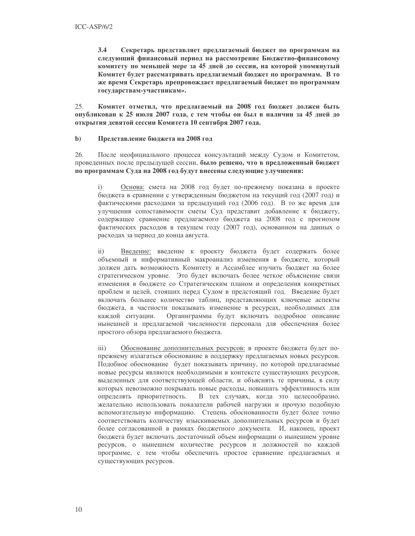$3.4$ Секретарь представляет предлагаемый бюджет по программам на следующий финансовый период на рассмотрение Бюджетно-финансовому комитету по меньшей мере за 45 дней до сессии, на которой упомянутый Комитет будет рассматривать предлагаемый бюджет по программам. В то же время Секретарь препровождает предлагаемый бюджет по программам государствам-участникам».

 $25$ Комитет отметил, что предлагаемый на 2008 год бюджет должен быть опубликован к 25 июля 2007 года, с тем чтобы он был в наличии за 45 дней до открытия девятой сессии Комитета 10 сентября 2007 года.

#### $\mathbf{b}$ Представление бюджета на 2008 год

26 После неофициального процесса консультаций между Судом и Комитетом, проведенных после предыдущей сессии, было решено, что в предложенный бюджет по программам Суда на 2008 год будут внесены следующие улучшения:

 $i)$ Основа: смета на 2008 год будет по-прежнему показана в проекте бюджета в сравнении с утвержденным бюджетом на текущий год (2007 год) и фактическими расходами за предыдущий год (2006 год). В то же время для улучшения сопоставимости сметы Суд представит добавление к бюджету, содержащее сравнение предлагаемого бюджета на 2008 год с прогнозом фактических расходов в текущем году (2007 год), основанном на данных о расходах за период до конца августа.

Введение: введение к проекту бюджета будет содержать более  $\mathbf{ii}$ объемный и информативный макроанализ изменения в бюджете, который должен дать возможность Комитету и Ассамблее изучить бюджет на более стратегическом уровне. Это будет включать более четкое объяснение связи изменения в бюджете со Стратегическим планом и определения конкретных проблем и целей, стоящих перед Судом в предстоящий год. Введение будет включать большее количество таблиц, представляющих ключевые аспекты бюджета, в частности показывать изменение в ресурсах, необходимых для Органиграммы будут включать подробное описание каждой ситуации. нынешней и предлагаемой численности персонала для обеспечения более простого обзора предлагаемого бюджета.

Обоснование дополнительных ресурсов: в проекте бюджета будет по- $\overline{iii}$ прежнему излагаться обоснование в поддержку предлагаемых новых ресурсов. Подобное обоснование будет показывать причину, по которой предлагаемые новые ресурсы являются необходимыми в контексте существующих ресурсов, выделенных для соответствующей области, и объяснять те причины, в силу которых невозможно покрывать новые расходы, повышать эффективность или определять приоритетность. В тех случаях, когда это целесообразно, желательно использовать показатели рабочей нагрузки и прочую подобную вспомогательную информацию. Степень обоснованности будет более точно соответствовать количеству изыскиваемых дополнительных ресурсов и будет более согласованной в рамках бюджетного документа. И, наконец, проект бюджета будет включать достаточный объем информации о нынешнем уровне ресурсов, о нынешнем количестве ресурсов и должностей по каждой программе, с тем чтобы обеспечить простое сравнение предлагаемых и существующих ресурсов.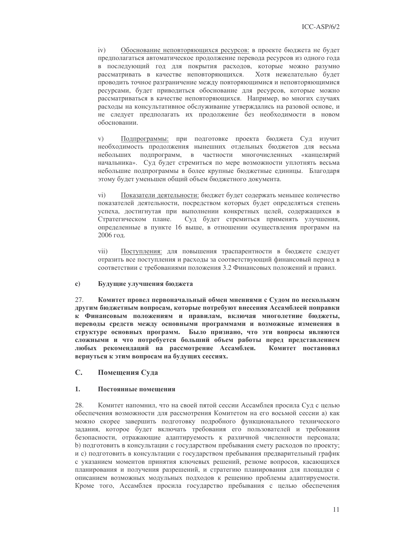$iv)$ Обоснование неповторяющихся ресурсов: в проекте бюджета не будет предполагаться автоматическое продолжение перевода ресурсов из одного года в последующий год для покрытия расходов, которые можно разумно рассматривать в качестве неповторяющихся. Хотя нежелательно будет проводить точное разграничение между повторяющимися и неповторяющимися ресурсами, будет приводиться обоснование для ресурсов, которые можно рассматриваться в качестве неповторяющихся. Например, во многих случаях расходы на консультативное обслуживание утверждались на разовой основе, и не следует предполагать их продолжение без необходимости в новом обосновании.

Подпрограммы: при подготовке проекта бюджета Суд изучит  $V)$ необходимость продолжения нынешних отдельных бюджетов для весьма небольших подпрограмм, в частности многочисленных «канцелярий начальника». Суд будет стремиться по мере возможности уплотнять весьма небольшие подпрограммы в более крупные бюджетные единицы. Благодаря этому будет уменьшен общий объем бюджетного документа.

 $\overline{vi}$ ) Показатели деятельности: бюджет будет содержать меньшее количество показателей деятельности, посредством которых будет определяться степень успеха, достигнутая при выполнении конкретных целей, содержащихся в Суд будет стремиться применять улучшения, Стратегическом плане. определенные в пункте 16 выше, в отношении осуществления программ на 2006 год.

Поступления: для повышения траспарентности в бюджете следует vii) отразить все поступления и расходы за соответствующий финансовый период в соответствии с требованиями положения 3.2 Финансовых положений и правил.

### $\mathbf{c}$ ) Будущие улучшения бюджета

27. Комитет провел первоначальный обмен мнениями с Судом по нескольким другим бюджетным вопросам, которые потребуют внесения Ассамблеей поправки к Финансовым положениям и правилам, включая многолетние бюджеты, переводы средств между основными программами и возможные изменения в структуре основных программ. Было признано, что эти вопросы являются сложными и что потребуется больший объем работы перед представлением любых рекомендаций на рассмотрение Ассамблеи. Комитет постановил вернуться к этим вопросам на будущих сессиях.

## $C_{\bullet}$ Помещения Суда

### $1<sub>1</sub>$ Постоянные помешения

28. Комитет напомнил, что на своей пятой сессии Ассамблея просила Суд с целью обеспечения возможности для рассмотрения Комитетом на его восьмой сессии а) как можно скорее завершить подготовку подробного функционального технического задания, которое будет включать требования его пользователей и требования безопасности, отражающие адаптируемость к различной численности персонала; b) подготовить в консультации с государством пребывания смету расходов по проекту; и с) подготовить в консультации с государством пребывания предварительный график с указанием моментов принятия ключевых решений, резюме вопросов, касающихся планирования и получения разрешений, и стратегию планирования для площадки с описанием возможных модульных подходов к решению проблемы адаптируемости. Кроме того, Ассамблея просила государство пребывания с целью обеспечения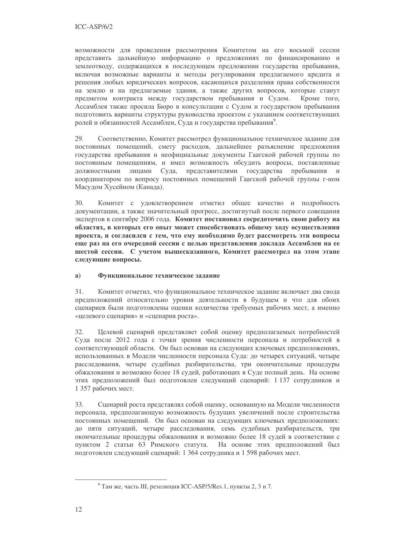возможности для проведения рассмотрения Комитетом на его восьмой сессии представить дальнейшую информацию о предложениях по финансированию и землеотводу, содержащихся в последующем предложении государства пребывания, включая возможные варианты и методы регулирования предлагаемого кредита и решения любых юридических вопросов, касающихся разделения права собственности на землю и на предлагаемые здания, а также других вопросов, которые станут предметом контракта между государством пребывания и Судом. Кроме того, Ассамблея также просила Бюро в консультации с Судом и государством пребывания подготовить варианты структуры руководства проектом с указанием соответствующих ролей и обязанностей Ассамблеи, Суда и государства пребывания<sup>9</sup>.

29. Соответственно, Комитет рассмотрел функциональное техническое задание для постоянных помещений, смету расходов, дальнейшее разъяснение предложения государства пребывания и неофициальные документы Гаагской рабочей группы по постоянным помещениям, и имел возможность обсудить вопросы, поставленные должностными лицами Суда, представителями государства пребывания и координатором по вопросу постоянных помещений Гаагской рабочей группы г-ном Масудом Хусейном (Канада).

30. Комитет с удовлетворением отметил общее качество и подробность документации, а также значительный прогресс, достигнутый после первого совещания экспертов в сентябре 2006 года. Комитет постановил сосредоточить свою работу на областях, в которых его опыт может способствовать общему ходу осуществления проекта, и согласился с тем, что ему необходимо будет рассмотреть эти вопросы еще раз на его очередной сессии с целью представления доклада Ассамблеи на ее шестой сессии. С учетом вышесказанного, Комитет рассмотрел на этом этапе следующие вопросы.

## a) Функциональное техническое задание

31. Комитет отметил, что функциональное техническое задание включает два свода предположений относительно уровня деятельности в будущем и что для обоих сценариев были подготовлены оценки количества требуемых рабочих мест, а именно «целевого сценария» и «сценария роста».

32. Целевой сценарий представляет собой оценку предполагаемых потребностей Суда после 2012 года с точки зрения численности персонала и потребностей в соответствующей области. Он был основан на следующих ключевых предположениях, использованных в Модели численности персонала Суда: до четырех ситуаций, четыре расследования, четыре судебных разбирательства, три окончательные процедуры обжалования и возможно более 18 судей, работающих в Суде полный день. На основе этих предположений был подготовлен следующий сценарий: 1 137 сотрудников и 1 357 рабочих мест.

33. Сценарий роста представлял собой оценку, основанную на Модели численности персонала, предполагающую возможность будущих увеличений после строительства постоянных помещений. Он был основан на следующих ключевых предположениях: до пяти ситуаций, четыре расследования, семь судебных разбирательств, три окончательные процедуры обжалования и возможно более 18 судей в соответствии с пунктом 2 статьи 63 Римского статута. На основе этих предположений был подготовлен следующий сценарий: 1 364 сотрудника и 1 598 рабочих мест.

<sup>&</sup>lt;sup>9</sup> Там же, часть III, резолюция ICC-ASP/5/Res.1, пункты 2, 3 и 7.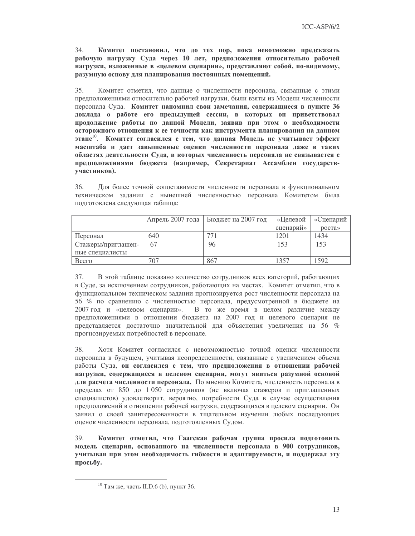$34.$ Комитет постановил, что до тех пор, пока невозможно предсказать рабочую нагрузку Суда через 10 лет, предположения относительно рабочей нагрузки, изложенные в «целевом сценарии», представляют собой, по-видимому, разумную основу для планирования постоянных помещений.

35. Комитет отметил, что данные о численности персонала, связанные с этими предположениями относительно рабочей нагрузки, были взяты из Модели численности персонала Суда. Комитет напомнил свои замечания, содержащиеся в пункте 36 доклада о работе его предыдущей сессии, в которых он приветствовал продолжение работы по данной Модели, заявив при этом о необходимости осторожного отношения к ее точности как инструмента планирования на данном этапе<sup>10</sup>. Комитет согласился с тем, что данная Модель не учитывает эффект масштаба и дает завышенные оценки численности персонала даже в таких областях деятельности Суда, в которых численность персонала не связывается с предположениями бюджета (например, Секретариат Ассамблеи государствучастников).

36. Для более точной сопоставимости численности персонала в функциональном техническом задании с нынешней численностью персонала Комитетом была подготовлена следующая таблица:

|                    | Апрель 2007 года | Бюджет на 2007 год | «Целевой  | «Сценарий |
|--------------------|------------------|--------------------|-----------|-----------|
|                    |                  |                    | сценарий» | pocra     |
| Персонал           | 640              |                    | 1201      | 1434      |
| Стажеры/приглашен- | 67               | 96                 | 153       | 153       |
| ные специалисты    |                  |                    |           |           |
| Всего              | 707              | 867                | 357       | 1592      |

37. В этой таблице показано количество сотрудников всех категорий, работающих в Суде, за исключением сотрудников, работающих на местах. Комитет отметил, что в функциональном техническом задании прогнозируется рост численности персонала на 56 % по сравнению с численностью персонала, предусмотренной в бюджете на В то же время в целом различие между 2007 год и «целевом сценарии». предположениями в отношении бюджета на 2007 год и целевого сценария не представляется достаточно значительной для объяснения увеличения на 56 % прогнозируемых потребностей в персонале.

38. Хотя Комитет согласился с невозможностью точной оценки численности персонала в будущем, учитывая неопределенности, связанные с увеличением объема работы Суда, он согласился с тем, что предположения в отношении рабочей нагрузки, содержащиеся в целевом сценарии, могут явиться разумной основой для расчета численности персонала. По мнению Комитета, численность персонала в пределах от 850 до 1 050 сотрудников (не включая стажеров и приглашенных специалистов) удовлетворит, вероятно, потребности Суда в случае осуществления предположений в отношении рабочей нагрузки, содержащихся в целевом сценарии. Он заявил о своей заинтересованности в тщательном изучении любых последующих оценок численности персонала, подготовленных Судом.

39. Комитет отметил, что Гаагская рабочая группа просила подготовить модель сценария, основанного на численности персонала в 900 сотрудников, учитывая при этом необходимость гибкости и адаптируемости, и поддержал эту просьбу.

<sup>&</sup>lt;sup>10</sup> Там же, часть II.D.6 (b), пункт 36.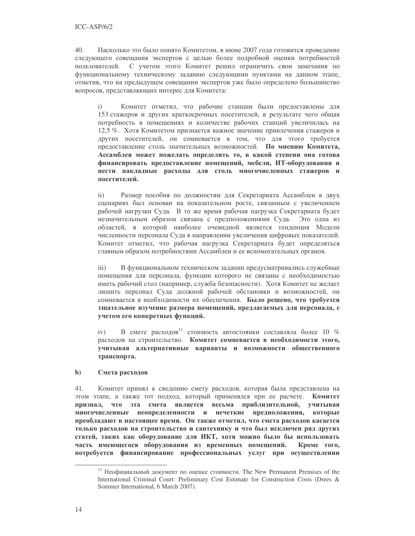$40<sub>1</sub>$ Насколько это было понято Комитетом, в июне 2007 года готовится проведение следующего совещания экспертов с целью более подробной оценки потребностей С учетом этого Комитет решил ограничить свои замечания по пользователей. функциональному техническому заданию следующими пунктами на данном этапе, отметив, что на предыдущем совещании экспертов уже было определено большинство вопросов, представляющих интерес для Комитета:

Комитет отметил, что рабочие станции были предоставлены для  $i)$ 153 стажеров и других краткосрочных посетителей, в результате чего общая потребность в помещениях и количестве рабочих станций увеличилась на 12,5 %. Хотя Комитетом признается важное значение привлечения стажеров и других посетителей, он сомневается в том, что для этого требуется предоставление столь значительных возможностей. По мнению Комитета, Ассамблея может пожелать определить то, в какой степени она готова финансировать предоставление помещений, мебели, ИТ-оборудования и нести накладные расходы для столь многочисленных стажеров и посетителей.

 $\mathbf{ii}$ Размер пособия по должностям для Секретариата Ассамблеи в двух сценариях был основан на показательном росте, связанным с увеличением рабочей нагрузки Суда. В то же время рабочая нагрузка Секретариата будет незначительным образом связана с предположениями Суда. Это одна из областей, в которой наиболее очевидной является тенденция Модели численности персонала Суда в направлении увеличения цифровых показателей. Комитет отметил, что рабочая нагрузка Секретариата будет определяться главным образом потребностями Ассамблеи и ее вспомогательных органов.

В функциональном техническом задании предусматривались служебные  $\overline{iii}$ ) помещения для персонала, функции которого не связаны с необходимостью иметь рабочий стол (например, служба безопасности). Хотя Комитет не желает лишить персонал Суда должной рабочей обстановки и возможностей, он сомневается в необходимости их обеспечения. Было решено, что требуется тщательное изучение размера помещений, предлагаемых для персонала, с учетом его конкретных функций.

В смете расходов<sup>11</sup> стоимость автостоянки составляла более 10 %  $iv)$ расходов на строительство. Комитет сомневается в необходимости этого, учитывая альтернативные варианты и возможности общественного транспорта.

### $\mathbf{b}$ Смета расходов

41. Комитет принял к сведению смету расходов, которая была представлена на этом этапе, а также тот подход, который применялся при ее расчете. Комитет признал, что эта смета является весьма приблизительной, учитывая многочисленные неопределенности и нечеткие предположения, которые преобладают в настоящее время. Он также отметил, что смета расходов касается только расходов на строительство и сантехнику и что был исключен ряд других статей, таких как оборудование для ИКТ, хотя можно было бы использовать часть имеющегося оборудования из временных помещений. Кроме того, потребуется финансирование профессиональных услуг при осуществлении

<sup>&</sup>lt;sup>11</sup> Неофициальный документ по оценке стоимости. The New Permanent Premises of the International Criminal Court: Preliminary Cost Estimate for Construction Costs (Drees & Sommer International, 6 March 2007).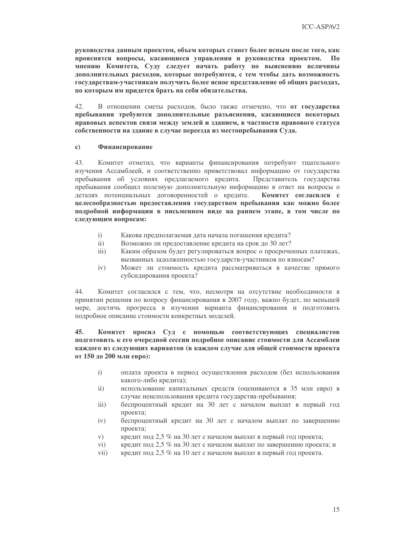руководства данным проектом, объем которых станет более ясным после того, как прояснятся вопросы, касающиеся управления и руководства проектом. **H**<sub>0</sub> мнению Комитета, Суду следует начать работу по выяснению величины дополнительных расходов, которые потребуются, с тем чтобы дать возможность государствам-участникам получить более ясное представление об общих расходах, по которым им придется брать на себя обязательства.

 $42.$ В отношении сметы расходов, было также отмечено, что от государства пребывания требуются дополнительные разъяснения, касающиеся некоторых правовых аспектов связи между землей и зданием, в частности правового статуса собственности на здание в случае переезда из местопребывания Суда.

#### $\mathbf{c}$ ) Финансирование

43. Комитет отметил, что варианты финансирования потребуют тщательного изучения Ассамблеей, и соответственно приветствовал информацию от государства пребывания об условиях предлагаемого кредита. Представитель государства пребывания сообщил полезную дополнительную информацию в ответ на вопросы о деталях потенциальных договоренностей о кредите. Комитет согласился с целесообразностью предоставления государством пребывания как можно более подробной информации в письменном виде на раннем этапе, в том числе по следующим вопросам:

- $i)$ Какова предполагаемая дата начала погашения кредита?
- $\mathbf{ii}$ Возможно ли предоставление кредита на срок до 30 лет?
- $iii)$ Каким образом будет регулироваться вопрос о просроченных платежах, вызванных задолженностью государств-участников по взносам?
- $iv)$ Может ли стоимость кредита рассматриваться в качестве прямого субсидирования проекта?

Комитет согласился с тем, что, несмотря на отсутствие необходимости в 44. принятии решения по вопросу финансирования в 2007 году, важно будет, по меньшей мере, достичь прогресса в изучении варианта финансирования и подготовить подробное описание стоимости конкретных моделей.

## 45. Комитет просил Суд с помощью соответствующих специалистов подготовить к его очередной сессии подробное описание стоимости для Ассамблеи каждого из следующих вариантов (в каждом случае для общей стоимости проекта от 150 до 200 млн евро):

- $i)$ оплата проекта в период осуществления расходов (без использования какого-либо кредита);
- $\mathbf{ii}$ использование капитальных средств (оцениваются в 35 млн евро) в случае неиспользования кредита государства-пребывания;
- $\overline{111}$ беспроцентный кредит на 30 лет с началом выплат в первый год проекта;
- беспроцентный кредит на 30 лет с началом выплат по завершению  $iv)$ проекта;
- $V)$ кредит под 2,5 % на 30 лет с началом выплат в первый год проекта;
- $\rm vi)$ кредит под 2.5 % на 30 лет с началом выплат по завершению проекта; и
- $vii)$ кредит под 2,5 % на 10 лет с началом выплат в первый год проекта.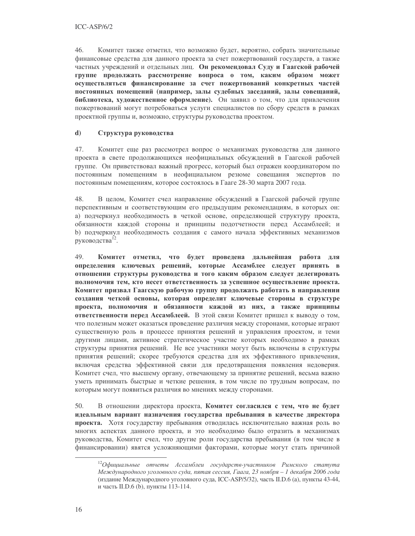46 Комитет также отметил, что возможно будет, вероятно, собрать значительные финансовые средства для данного проекта за счет пожертвований государств, а также частных учреждений и отдельных лиц. Он рекомендовал Суду и Гаагской рабочей группе продолжать рассмотрение вопроса о том, каким образом может осуществляться финансирование за счет пожертвований конкретных частей постоянных помещений (например, залы судебных заседаний, залы совещаний, библиотека, художественное оформление). Он заявил о том, что для привлечения пожертвований могут потребоваться услуги специалистов по сбору средств в рамках проектной группы и, возможно, структуры руководства проектом.

### $\mathbf{d}$ Структура руководства

47. Комитет еще раз рассмотрел вопрос о механизмах руководства для данного проекта в свете продолжающихся неофициальных обсуждений в Гаагской рабочей группе. Он приветствовал важный прогресс, который был отражен координатором по постоянным помещениям в неофициальном резюме совещания экспертов по постоянным помещениям, которое состоялось в Гааге 28-30 марта 2007 года.

В целом, Комитет счел направление обсуждений в Гаагской рабочей группе 48. перспективным и соответствующим его предыдущим рекомендациям, в которых он: а) подчеркнул необходимость в четкой основе, определяющей структуру проекта, обязанности каждой стороны и принципы подотчетности перед Ассамблеей; и b) подчеркнул необходимость создания с самого начала эффективных механизмов руководства<sup>12</sup>.

49. Комитет отметил, что будет проведена дальнейшая работа для определения ключевых решений, которые Ассамблее следует принять в отношении структуры руководства и того каким образом следует делегировать полномочия тем, кто несет ответственность за успешное осуществление проекта. Комитет призвал Гаагскую рабочую группу продолжать работать в направлении создания четкой основы, которая определит ключевые стороны в структуре проекта, полномочия и обязанности каждой из них, а также принципы ответственности перед Ассамблеей. В этой связи Комитет пришел к выводу о том, что полезным может оказаться проведение различия между сторонами, которые играют существенную роль в процессе принятия решений и управления проектом, и теми другими лицами, активное стратегическое участие которых необходимо в рамках структуры принятия решений. Не все участники могут быть включены в структуры принятия решений; скорее требуются средства для их эффективного привлечения, включая средства эффективной связи для предотвращения появления недоверия. Комитет счел, что высшему органу, отвечающему за принятие решений, весьма важно уметь принимать быстрые и четкие решения, в том числе по трудным вопросам, по которым могут появиться различия во мнениях между сторонами.

50. В отношении директора проекта, Комитет согласился с тем, что не будет идеальным вариант назначения государства пребывания в качестве директора проекта. Хотя государству пребывания отводилась исключительно важная роль во многих аспектах данного проекта, и это необходимо было отразить в механизмах руководства, Комитет счел, что другие роли государства пребывания (в том числе в финансировании) явятся усложняющими факторами, которые могут стать причиной

 $^{12}$ Официальные отчеты Ассамблеи государств-участников Римского статута Международного уголовного суда, пятая сессия, Гаага, 23 ноября - 1 декабря 2006 года (издание Международного уголовного суда, ICC-ASP/5/32), часть II.D.6 (а), пункты 43-44, и часть II.D.6 (b), пункты 113-114.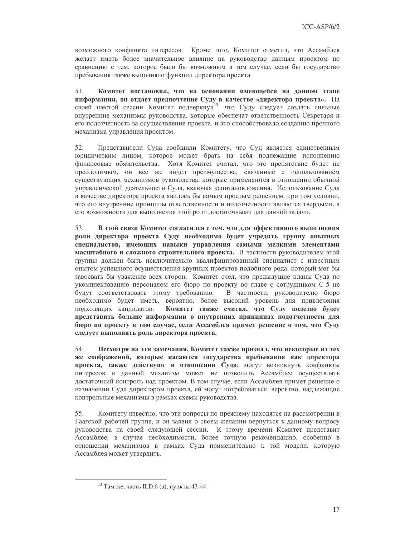возможного конфликта интересов. Кроме того, Комитет отметил, что Ассамблея желает иметь более значительное влияние на руководство данным проектом по сравнению с тем, которое было бы возможным в том случае, если бы государство пребывания также выполняло функции директора проекта.

51. Комитет постановил, что на основании имеющейся на данном этапе информации, он отдает предпочтение Суду в качестве «директора проекта». На своей шестой сессии Комитет подчеркнул<sup>13</sup>, что Суду следует создать сильные внутренние механизмы руководства, которые обеспечат ответственность Секретаря и его подотчетность за осуществление проекта, и это способствовало созданию прочного механизма управления проектом.

 $52.$ Представители Суда сообщили Комитету, что Суд является единственным юридическим лицом, которое может брать на себя подлежащие исполнению финансовые обязательства. Хотя Комитет считал, что это препятствие будет не преодолимым, он все же видел преимущества, связанные с использованием существующих механизмов руководства, которые применяются в отношении обычной управленческой деятельности Суда, включая капиталовложения. Использование Суда в качестве директора проекта явилось бы самым простым решением, при том условии, что его внутренние принципы ответственности и подотчетности являются твердыми, а его возможности для выполнения этой роли достаточными для данной задачи.

53. В этой связи Комитет согласился с тем, что для эффективного выполнения роли директора проекта Суду необходимо будет учредить группу опытных специалистов, имеющих навыки управления самыми мелкими элементами масштабного и сложного строительного проекта. В частности руководителем этой группы должен быть исключительно квалифицированный специалист с известным опытом успешного осуществления крупных проектов подобного рода, который мог бы завоевать бы уважение всех сторон. Комитет счел, что предыдущие планы Суда по укомплектованию персоналом его бюро по проекту во главе с сотрудником С-5 не В частности, руководителю бюро будут соответствовать этому требованию. необходимо будет иметь, вероятно, более высокий уровень для привлечения подходящих кандидатов. Комитет также считал, что Суду полезно будет представить больше информации о внутренних принципах подотчетности для бюро по проекту в том случае, если Ассамблея примет решение о том, что Суду следует выполнять роль директора проекта.

54. Несмотря на эти замечания, Комитет также признал, что некоторые из тех же соображений, которые касаются государства пребывания как директора проекта, также действуют в отношении Суда: могут возникнуть конфликты интересов и данный механизм может не позволить Ассамблее осуществлять достаточный контроль над проектом. В том случае, если Ассамблея примет решение о назначении Суда директором проекта, ей могут потребоваться, вероятно, надлежащие контрольные механизмы в рамках схемы руководства.

Комитету известно, что эти вопросы по-прежнему находятся на рассмотрении в 55. Гаагской рабочей группе, и он заявил о своем желании вернуться к данному вопросу руководства на своей следующей сессии. К этому времени Комитет представит Ассамблее, в случае необходимости, более точную рекомендацию, особенно в отношении механизмов в рамках Суда применительно к той модели, которую Ассамблея может утвердить.

<sup>&</sup>lt;sup>13</sup> Там же, часть II.D.6 (а), пункты 43-44.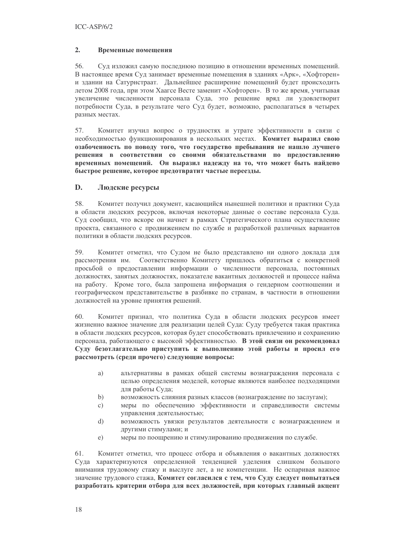## $2.$ Временные помещения

56. Суд изложил самую последнюю позицию в отношении временных помещений. В настоящее время Суд занимает временные помещения в зданиях «Арк», «Хофторен» и здании на Сатурнстраат. Дальнейшее расширение помещений будет происходить летом 2008 года, при этом Хаагсе Весте заменит «Хофторен». В то же время, учитывая увеличение численности персонала Суда, это решение вряд ли удовлетворит потребности Суда, в результате чего Суд будет, возможно, располагаться в четырех разных местах.

Комитет изучил вопрос о трудностях и утрате эффективности в связи с 57. необходимостью функционирования в нескольких местах. Комитет выразил свою озабоченность по поводу того, что государство пребывания не нашло лучшего решения в соответствии со своими обязательствами по предоставлению временных помещений. Он выразил надежду на то, что может быть найдено быстрое решение, которое предотвратит частые переезды.

## D. Людские ресурсы

58. Комитет получил документ, касающийся нынешней политики и практики Суда в области людских ресурсов, включая некоторые данные о составе персонала Суда. Суд сообщил, что вскоре он начнет в рамках Стратегического плана осуществление проекта, связанного с продвижением по службе и разработкой различных вариантов политики в области людских ресурсов.

59. Комитет отметил, что Судом не было представлено ни одного доклада для рассмотрения им. Соответственно Комитету пришлось обратиться с конкретной просьбой о предоставлении информации о численности персонала, постоянных должностях, занятых должностях, показателе вакантных должностей и процессе найма на работу. Кроме того, была запрошена информация о гендерном соотношении и географическом представительстве в разбивке по странам, в частности в отношении должностей на уровне принятия решений.

60. Комитет признал, что политика Суда в области людских ресурсов имеет жизненно важное значение для реализации целей Суда: Суду требуется такая практика в области людских ресурсов, которая будет способствовать привлечению и сохранению персонала, работающего с высокой эффективностью. В этой связи он рекомендовал Суду безотлагательно приступить к выполнению этой работы и просил его рассмотреть (среди прочего) следующие вопросы:

- a) альтернативы в рамках общей системы вознаграждения персонала с целью определения моделей, которые являются наиболее подходящими для работы Суда;
- $b)$ возможность слияния разных классов (вознаграждение по заслугам);
- c) меры по обеспечению эффективности и справедливости системы управления деятельностью;
- $\mathbf{d}$ возможность увязки результатов деятельности с вознаграждением и другими стимулами; и
- меры по поощрению и стимулированию продвижения по службе.  $e)$

61. Комитет отметил, что процесс отбора и объявления о вакантных должностях Суда характеризуются определенной тенденцией уделения слишком большого внимания трудовому стажу и выслуге лет, а не компетенции. Не оспаривая важное значение трудового стажа, Комитет согласился с тем, что Суду следует попытаться разработать критерии отбора для всех должностей, при которых главный акцент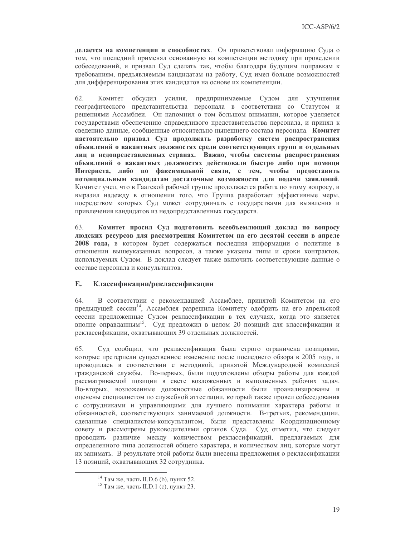делается на компетенции и способностях. Он приветствовал информацию Суда о том, что последний применял основанную на компетенции методику при проведении собеседований, и призвал Суд сделать так, чтобы благодаря будущим поправкам к требованиям, предъявляемым кандидатам на работу, Суд имел больше возможностей для дифференцирования этих кандидатов на основе их компетенции.

62. Комитет обсудил усилия, предпринимаемые Судом для улучшения географического представительства персонала в соответствии со Статутом и решениями Ассамблеи. Он напомнил о том большом внимании, которое уделяется государствами обеспечению справедливого представительства персонала, и принял к сведению данные, сообщенные относительно нынешнего состава персонала. Комитет настоятельно призвал Суд продолжать разработку систем распространения объявлений о вакантных должностях среди соответствующих групп и отдельных лиц в недопредставленных странах. Важно, чтобы системы распространения объявлений о вакантных должностях действовали быстро либо при помощи Интернета, либо по факсимильной связи, с тем, чтобы предоставить потенциальным кандидатам достаточные возможности для подачи заявлений. Комитет учел, что в Гаагской рабочей группе продолжается работа по этому вопросу, и выразил надежду в отношении того, что Группа разработает эффективные меры, посредством которых Суд может сотрудничать с государствами для выявления и привлечения кандидатов из недопредставленных государств.

63. Комитет просил Суд подготовить всеобъемлющий доклад по вопросу людских ресурсов для рассмотрения Комитетом на его десятой сессии в апреле 2008 года, в котором будет содержаться последняя информации о политике в отношении вышеуказанных вопросов, а также указаны типы и сроки контрактов, используемых Судом. В доклад следует также включить соответствующие данные о составе персонала и консультантов.

### $E.$ Классификации/реклассификации

64 В соответствии с рекомендацией Ассамблее, принятой Комитетом на его предыдущей сессии<sup>14</sup>, Ассамблея разрешила Комитету одобрить на его апрельской сессии предложенные Судом реклассификации в тех случаях, когда это является вполне оправданным<sup>15</sup>. Суд предложил в целом 20 позиций для классификации и реклассификации, охватывающих 39 отдельных должностей.

65. Суд сообщил, что реклассификация была строго ограничена позициями, которые претерпели существенное изменение после последнего обзора в 2005 году, и проводилась в соответствии с методикой, принятой Международной комиссией гражданской службы. Во-первых, были подготовлены обзоры работы для каждой рассматриваемой позиции в свете возложенных и выполненных рабочих задач. Во-вторых, возложенные должностные обязанности были проанализированы и оценены специалистом по служебной аттестации, который также провел собеседования с сотрудниками и управляющими для лучшего понимания характера работы и обязанностей, соответствующих занимаемой должности. В-третьих, рекомендации, сделанные специалистом-консультантом, были представлены Координационному совету и рассмотрены руководителями органов Суда. Суд отметил, что следует проводить различие между количеством реклассификаций, предлагаемых для определенного типа должностей общего характера, и количеством лиц, которые могут их занимать. В результате этой работы были внесены предложения о реклассификации 13 позиций, охватывающих 32 сотрудника.

<sup>&</sup>lt;sup>14</sup> Там же, часть II.D.6 (b), пункт 52.

<sup>&</sup>lt;sup>15</sup> Там же, часть II.D.1 (с), пункт 23.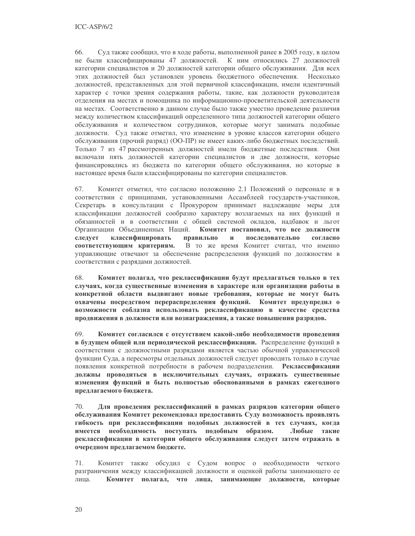66. Суд также сообщил, что в ходе работы, выполненной ранее в 2005 году, в целом не были классифицированы 47 должностей. К ним относились 27 должностей категории специалистов и 20 должностей категории общего обслуживания. Для всех этих должностей был установлен уровень бюджетного обеспечения. Несколько должностей, представленных для этой первичной классификации, имели идентичный характер с точки зрения содержания работы, такие, как должности руководителя отделения на местах и помощника по информационно-просветительской деятельности на местах. Соответственно в данном случае было также уместно проведение различия между количеством классификаций определенного типа должностей категории общего обслуживания и количеством сотрудников, которые могут занимать подобные должности. Суд также отметил, что изменение в уровне классов категории общего обслуживания (прочий разряд) (ОО-ПР) не имеет каких-либо бюджетных последствий. Только 7 из 47 рассмотренных должностей имели бюджетные последствия. Они включали пять должностей категории специалистов и две должности, которые финансировались из бюджета по категории общего обслуживания, но которые в настоящее время были классифицированы по категории специалистов.

Комитет отметил, что согласно положению 2.1 Положений о персонале и в 67. соответствии с принципами, установленными Ассамблеей государств-участников, Секретарь в консультации с Прокурором принимает надлежащие меры для классификации должностей сообразно характеру возлагаемых на них функций и обязанностей и в соответствии с общей системой окладов, надбавок и льгот Организации Объединенных Наций. Комитет постановил, что все должности следует классифицировать правильно  $\mathbf{H}$ последовательно согласно соответствующим критериям. В то же время Комитет считал, что именно управляющие отвечают за обеспечение распределения функций по должностям в соответствии с разрядами должностей.

68. Комитет полагал, что реклассификации будут предлагаться только в тех случаях, когда существенные изменения в характере или организации работы в конкретной области выдвигают новые требования, которые не могут быть охвачены посредством перераспределения функций. Комитет предупредил о возможности соблазна использовать реклассификацию в качестве средства продвижения в должности или вознаграждения, а также повышения разрядов.

69. Комитет согласился с отсутствием какой-либо необходимости проведения в будущем общей или периодической реклассификации. Распределение функций в соответствии с должностными разрядами является частью обычной управленческой функции Суда, а пересмотры отдельных должностей следует проводить только в случае появления конкретной потребности в рабочем подразделении. Реклассификации должны проводиться в исключительных случаях, отражать существенные изменения функций и быть полностью обоснованными в рамках ежегодного предлагаемого бюджета.

70. Для проведения реклассификаций в рамках разрядов категории общего обслуживания Комитет рекомендовал предоставить Суду возможность проявлять гибкость при реклассификации подобных должностей в тех случаях, когда имеется необходимость поступать подобным образом. Любые такие реклассификации в категории общего обслуживания следует затем отражать в очередном предлагаемом бюджете.

71. Комитет также обсудил с Судом вопрос о необходимости четкого разграничения между классификацией должности и оценкой работы занимающего ее лина. Комитет полагал, что лица, занимающие должности, которые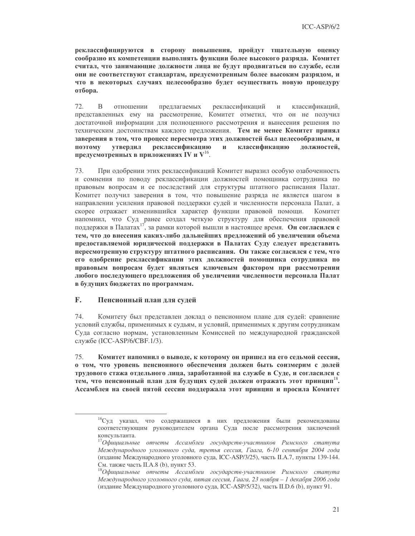реклассифицируются в сторону повышения, пройдут тщательную оценку сообразно их компетенции выполнять функции более высокого разряда. Комитет считал, что занимающие должности лица не будут продвигаться по службе, если они не соответствуют стандартам, предусмотренным более высоким разрядом, и что в некоторых случаях целесообразно будет осуществить новую процедуру отбора.

 $72$  $\overline{B}$ отношении предлагаемых реклассификаций  $\mathbf{M}$ классификаций, представленных ему на рассмотрение, Комитет отметил, что он не получил достаточной информации для полноценного рассмотрения и вынесения решения по техническим достоинствам каждого предложения. Тем не менее Комитет принял заверения в том, что процесс пересмотра этих должностей был целесообразным, и поэтому **VTBeDДИЛ** реклассификацию  $\mathbf{H}$ классификацию должностей. предусмотренных в приложениях IV и V<sup>16</sup>.

При одобрении этих реклассификаций Комитет выразил особую озабоченность 73. и сомнения по поводу реклассификации должностей помощника сотрудника по правовым вопросам и ее последствий для структуры штатного расписания Палат. Комитет получил заверения в том, что повышение разряда не является шагом в направлении усиления правовой поддержки судей и численности персонала Палат, а скорее отражает изменившийся характер функции правовой помощи. Комитет напомнил, что Суд ранее создал четкую структуру для обеспечения правовой поддержки в Палатах<sup>17</sup>, за рамки которой вышли в настоящее время. **Он согласился с** тем, что до внесения каких-либо дальнейших предложений об увеличении объема предоставляемой юридической поддержки в Палатах Суду следует представить пересмотренную структуру штатного расписания. Он также согласился с тем, что его одобрение реклассификации этих должностей помощника сотрудника по правовым вопросам будет являться ключевым фактором при рассмотрении любого последующего предложения об увеличении численности персонала Палат в будущих бюджетах по программам.

### $\mathbf{F}$ . Пенсионный план для судей

74. Комитету был представлен доклад о пенсионном плане для судей: сравнение условий службы, применимых к судьям, и условий, применимых к другим сотрудникам Суда согласно нормам, установленным Комиссией по международной гражданской службе (ICC-ASP/6/CBF.1/3).

75. Комитет напомнил о выводе, к которому он пришел на его седьмой сессии, о том, что уровень пенсионного обеспечения должен быть соизмерим с долей трудового стажа отдельного лица, заработанной на службе в Суде, и согласился с тем, что пенсионный план для будущих судей должен отражать этот принцип<sup>18</sup>. Ассамблея на своей пятой сессии поддержала этот принцип и просила Комитет

<sup>&</sup>lt;sup>16</sup>Суд указал, что содержащиеся в них предложения были рекомендованы соответствующим руководителем органа Суда после рассмотрения заключений консультанта.

 $^{17}$ Официальные отчеты Ассамблеи государств-участников Римского статута Международного уголовного суда, третья сессия, Гаага, 6-10 сентября 2004 года (издание Международного уголовного суда, ICC-ASP/3/25), часть II.А.7, пункты 139-144. См. также часть II.А.8 (b), пункт 53.

 $^{18}$ Официальные отчеты Ассамблеи государств-участников Римского статута Международного уголовного суда, пятая сессия, Гаага, 23 ноября - 1 декабря 2006 года (издание Международного уголовного суда, ICC-ASP/5/32), часть II.D.6 (b), пункт 91.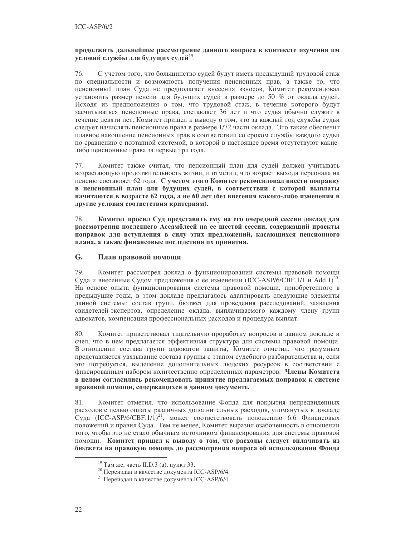## продолжить дальнейшее рассмотрение данного вопроса в контексте изучения им условий службы для будущих судей<sup>19</sup>.

76. С учетом того, что большинство судей будут иметь предыдущий трудовой стаж по специальности и возможность получения пенсионных прав, а также то, что пенсионный план Суда не предполагает внесения взносов, Комитет рекомендовал установить размер пенсии для будущих судей в размере до 50 % от оклада судей. Исходя из предположения о том, что трудовой стаж, в течение которого будут засчитываться пенсионные права, составляет 36 лет и что судья обычно служит в течение девяти лет, Комитет пришел к выводу о том, что за каждый год службы судьи следует начислять пенсионные права в размере 1/72 части оклада. Это также обеспечит плавное накопление пенсионных прав в соответствии со сроком службы каждого судьи по сравнению с поэтапной системой, в которой в настоящее время отсутствуют какиелибо пенсионные права за первые три года.

Комитет также считал, что пенсионный план для судей должен учитывать 77. возрастающую продолжительность жизни, и отметил, что возраст выхода персонала на пенсию составляет 62 года. С учетом этого Комитет рекомендовал внести поправку в пенсионный план для будущих судей, в соответствии с которой выплаты начитаются в возрасте 62 года, а не 60 лет (без внесения какого-либо изменения в другие условия соответствия критериям).

78. Комитет просил Суд представить ему на его очередной сессии доклад для рассмотрения последнего Ассамблеей на ее шестой сессии, содержащий проекты поправок для вступления в силу этих предложений, касающихся пенсионного плана, а также финансовые последствия их принятия.

## G. План правовой помощи

79 Комитет рассмотрел доклад о функционировании системы правовой помощи Суда и внесенные Судом предложения о ее изменении (ICC-ASP/6/CBF.1/1 и Add.1)<sup>20</sup>. На основе опыта функционирования системы правовой помощи, приобретенного в предыдущие годы, в этом докладе предлагалось адаптировать следующие элементы данной системы: состав групп, бюджет для проведения расследований, заявления свидетелей-экспертов, определение оклада, выплачиваемого каждому члену групп адвокатов, компенсация профессиональных расходов и процедура выплат.

80. Комитет приветствовал тщательную проработку вопросов в данном докладе и счел, что в нем предлагается эффективная структура для системы правовой помощи. В отношении состава групп адвокатов защиты, Комитет отметил, что разумным представляется увязывание состава группы с этапом судебного разбирательства и, если это потребуется, выделение дополнительных людских ресурсов в соответствии с фиксированным набором количественно определенных параметров. Члены Комитета в целом согласились рекомендовать принятие предлагаемых поправок к системе правовой помощи, содержащихся в данном документе.

Комитет отметил, что использование Фонда для покрытия непредвиденных 81. расходов с целью оплаты различных дополнительных расходов, упомянутых в докладе Суда (ICC-ASP/6/CBF.1/1)<sup>21</sup>, может соответствовать положению 6.6 Финансовых положений и правил Суда. Тем не менее, Комитет выразил озабоченность в отношении того, чтобы это не стало обычным источником финансирования для системы правовой помощи. Комитет пришел к выводу о том, что расходы следует оплачивать из бюджета на правовую помощь до рассмотрения вопроса об использовании Фонда

<sup>&</sup>lt;sup>19</sup> Там же, часть II.D.3 (а), пункт 33.

<sup>&</sup>lt;sup>20</sup> Переиздан в качестве документа ICC-ASP/6/4.

<sup>&</sup>lt;sup>21</sup> Переиздан в качестве документа ICC-ASP/6/4.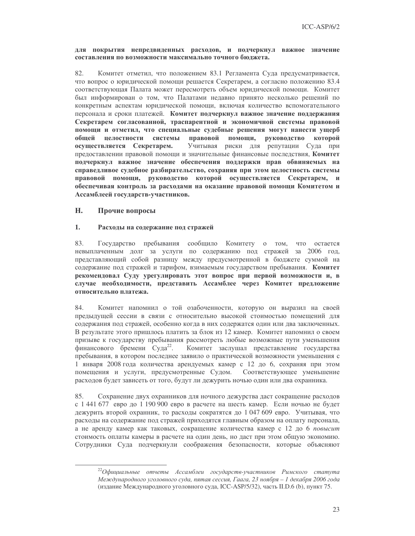## для покрытия непредвиденных расходов, и подчеркнул важное значение составления по возможности максимально точного бюлжета.

82. Комитет отметил, что положением 83.1 Регламента Суда предусматривается, что вопрос о юридической помощи решается Секретарем, а согласно положению 83.4 соответствующая Палата может пересмотреть объем юридической помощи. Комитет был информирован о том, что Палатами недавно принято несколько решений по конкретным аспектам юридической помощи, включая количество вспомогательного персонала и сроки платежей. Комитет подчеркнул важное значение поддержания Секретарем согласованной, траспарентной и экономичной системы правовой помощи и отметил, что специальные судебные решения могут нанести ущерб правовой общей целостности системы помощи, руководство которой Учитывая риски для репутации Суда при осуществляется Секретарем. предоставлении правовой помощи и значительные финансовые последствия, Комитет подчеркнул важное значение обеспечения поддержки прав обвиняемых на справедливое судебное разбирательство, сохраняя при этом целостность системы правовой помощи, руководство которой осуществляется Секретарем, и обеспечивая контроль за расходами на оказание правовой помощи Комитетом и Ассамблеей государств-участников.

### H. Прочие вопросы

## $1.$ Расходы на содержание под стражей

83. Государство пребывания сообщило Комитету о том, что остается невыплаченным долг за услуги по содержанию под стражей за 2006 год, представляющий собой разницу между предусмотренной в бюджете суммой на содержание под стражей и тарифом, взимаемым государством пребывания. Комитет рекомендовал Суду урегулировать этот вопрос при первой возможности и, в случае необходимости, представить Ассамблее через Комитет предложение относительно платежа.

84. Комитет напомнил о той озабоченности, которую он выразил на своей предыдущей сессии в связи с относительно высокой стоимостью помещений для содержания под стражей, особенно когда в них содержатся один или два заключенных. В результате этого пришлось платить за блок из 12 камер. Комитет напомнил о своем призыве к государству пребывания рассмотреть любые возможные пути уменьшения финансового бремени Суда<sup>22</sup>. Комитет заслушал представление государства пребывания, в котором последнее заявило о практической возможности уменьшения с 1 января 2008 года количества арендуемых камер с 12 до 6, сохраняя при этом помещения и услуги, предусмотренные Судом. Соответствующее уменьшение расходов будет зависеть от того, будут ли дежурить ночью один или два охранника.

Сохранение двух охранников для ночного дежурства даст сокращение расходов 85. с 1 441 677 евро до 1 190 900 евро в расчете на шесть камер. Если ночью не будет дежурить второй охранник, то расходы сократятся до 1047 609 евро. Учитывая, что расходы на содержание под стражей приходятся главным образом на оплату персонала, а не аренду камер как таковых, сокращение количества камер с 12 до 6 повысит стоимость оплаты камеры в расчете на один день, но даст при этом общую экономию. Сотрудники Суда подчеркнули соображения безопасности, которые объясняют

 $^{22}$ Офишиальные отчеты Ассамблеи государств-участников Римского статута Международного уголовного суда, пятая сессия, Гаага, 23 ноября - 1 декабря 2006 года (издание Международного уголовного суда, ICC-ASP/5/32), часть II.D.6 (b), пункт 75.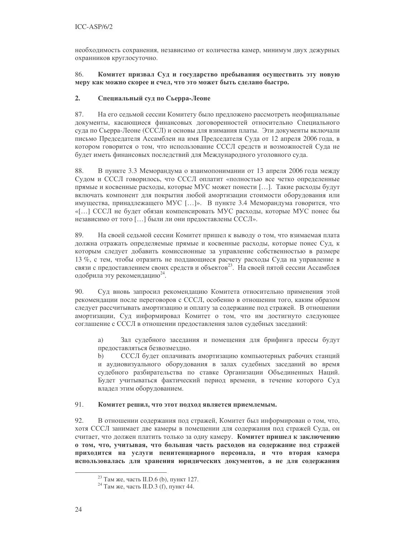необходимость сохранения, независимо от количества камер, минимум двух дежурных охранников круглосуточно.

## 86. Комитет призвал Суд и государство пребывания осуществить эту новую меру как можно скорее и счел, что это может быть сделано быстро.

## $2.$ Специальный суд по Сьерра-Леоне

87. На его седьмой сессии Комитету было предложено рассмотреть неофициальные документы, касающиеся финансовых договоренностей относительно Специального суда по Сьерра-Леоне (СССЛ) и основы для взимания платы. Эти документы включали письмо Председателя Ассамблеи на имя Председателя Суда от 12 апреля 2006 года, в котором говорится о том, что использование СССЛ средств и возможностей Суда не будет иметь финансовых последствий для Международного уголовного суда.

88. В пункте 3.3 Меморандума о взаимопонимании от 13 апреля 2006 года между Судом и СССЛ говорилось, что СССЛ оплатит «полностью все четко определенные прямые и косвенные расходы, которые МУС может понести [...]. Такие расходы будут включать компонент для покрытия любой амортизации стоимости оборудования или имущества, принадлежащего МУС [...]». В пункте 3.4 Меморандума говорится, что «[...] СССЛ не будет обязан компенсировать МУС расходы, которые МУС понес бы независимо от того [...] были ли они предоставлены СССЛ».

89. На своей седьмой сессии Комитет пришел к выводу о том, что взимаемая плата должна отражать определяемые прямые и косвенные расходы, которые понес Суд, к которым следует добавить комиссионные за управление собственностью в размере 13 %, с тем, чтобы отразить не поддающиеся расчету расходы Суда на управление в связи с предоставлением своих средств и объектов<sup>23</sup>. На своей пятой сессии Ассамблея одобрила эту рекомендацию<sup>24</sup>.

90. Суд вновь запросил рекомендацию Комитета относительно применения этой рекомендации после переговоров с СССЛ, особенно в отношении того, каким образом следует рассчитывать амортизацию и оплату за содержание под стражей. В отношении амортизации, Суд информировал Комитет о том, что им достигнуто следующее соглашение с СССЛ в отношении предоставления залов судебных заседаний:

Зал судебного заседания и помещения для брифинга прессы будут a) предоставляться безвозмездно.

 $b)$ СССЛ будет оплачивать амортизацию компьютерных рабочих станций и аудиовизуального оборудования в залах судебных заседаний во время судебного разбирательства по ставке Организации Объединенных Наций. Будет учитываться фактический период времени, в течение которого Суд владел этим оборудованием.

### $91$ Комитет решил, что этот подход является приемлемым.

92. В отношении содержания под стражей, Комитет был информирован о том, что, хотя СССЛ занимает две камеры в помещении для содержания под стражей Суда, он считает, что должен платить только за одну камеру. Комитет пришел к заключению о том, что, учитывая, что большая часть расходов на содержание под стражей приходится на услуги пенитенциарного персонала, и что вторая камера использовалась для хранения юридических документов, а не для содержания

<sup>&</sup>lt;sup>23</sup> Там же, часть II.D.6 (b), пункт 127.

<sup>&</sup>lt;sup>24</sup> Там же, часть II.D.3 (f), пункт 44.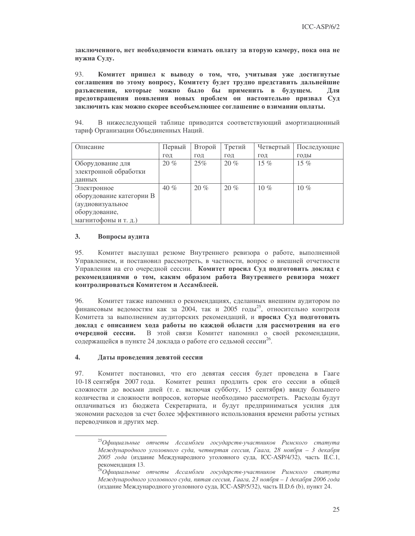заключенного, нет необходимости взимать оплату за вторую камеру, пока она не нужна Суду.

93. Комитет пришел к выводу о том, что, учитывая уже достигнутые соглашения по этому вопросу, Комитету будет трудно представить дальнейшие разъяснения, которые можно было бы применить в будущем. Для предотвращения появления новых проблем он настоятельно призвал Суд заключить как можно скорее всеобъемлющее соглашение о взимании оплаты.

94. В нижеследующей таблице приводится соответствующий амортизационный тариф Организации Объединенных Наций.

| Описание                 | Первый | Второй | Третий | Четвертый | Последующие |
|--------------------------|--------|--------|--------|-----------|-------------|
|                          | ГОД    | ГОД    | ГОД    | ГОД       | ГОДЫ        |
| Оборудование для         | $20\%$ | 25%    | 20%    | 15 $%$    | 15 $%$      |
| электронной обработки    |        |        |        |           |             |
| данных                   |        |        |        |           |             |
| Электронное              | 40%    | 20%    | 20%    | 10 $%$    | 10 $%$      |
| оборудование категории В |        |        |        |           |             |
| (аудиовизуальное         |        |        |        |           |             |
| оборудование,            |        |        |        |           |             |
| магнитофоны и т. д.)     |        |        |        |           |             |

### $3<sub>1</sub>$ Вопросы аудита

 $95 -$ Комитет выслушал резюме Внутреннего ревизора о работе, выполненной Управлением, и постановил рассмотреть, в частности, вопрос о внешней отчетности Управления на его очередной сессии. Комитет просил Суд подготовить доклад с рекомендациями о том, каким образом работа Внутреннего ревизора может контролироваться Комитетом и Ассамблеей.

Комитет также напомнил о рекомендациях, сделанных внешним аудитором по 96. финансовым ведомостям как за 2004, так и 2005 годы<sup>25</sup>, относительно контроля Комитета за выполнением аудиторских рекомендаций, и просил Суд подготовить доклад с описанием хода работы по каждой области для рассмотрения на его В этой связи Комитет напомнил о своей рекомендации, очередной сессии. содержащейся в пункте 24 доклада о работе его седьмой сессии<sup>26</sup>.

### $\overline{4}$ . Даты проведения девятой сессии

97. Комитет постановил, что его девятая сессия будет проведена в Гааге 10-18 сентября 2007 года. Комитет решил продлить срок его сессии в общей сложности до восьми дней (т. е. включая субботу, 15 сентября) ввиду большего количества и сложности вопросов, которые необходимо рассмотреть. Расходы будут оплачиваться из бюджета Секретариата, и будут предприниматься усилия для экономии расходов за счет более эффективного использования времени работы устных переводчиков и других мер.

<sup>&</sup>lt;sup>25</sup>Официальные отчеты Ассамблеи государств-участников Римского статута Международного уголовного суда, четвертая сессия, Гаага, 28 ноября – 3 декабря 2005 года (издание Международного уголовного суда, ICC-ASP/4/32), часть II.C.1, рекомендация 13.

 $^5$ Официальные отчеты Ассамблеи государств-участников Римского статута Международного уголовного суда, пятая сессия, Гаага, 23 ноября - 1 декабря 2006 года (издание Международного уголовного суда, ICC-ASP/5/32), часть II.D.6 (b), пункт 24.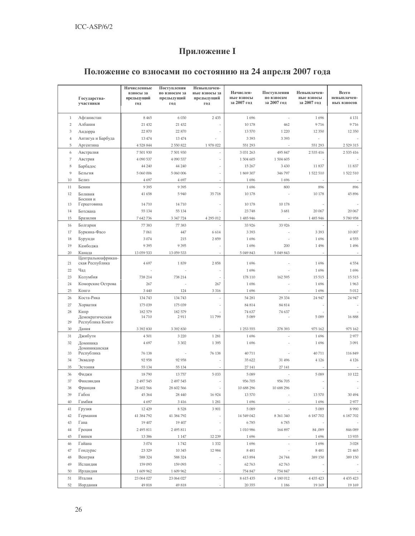# Приложение I

# Положение со взносами по состоянию на 24 апреля 2007 года

|                |                                     | Начисленные             | Поступления       | Невыплачен-       |                         |                           |                           |                      |
|----------------|-------------------------------------|-------------------------|-------------------|-------------------|-------------------------|---------------------------|---------------------------|----------------------|
|                |                                     | взносы за<br>предыдущий | по взносам за     | ные взносы за     | Начислен-<br>ные взносы | Поступления<br>по взносам | Невыплачен-<br>ные взносы | Всего<br>невыплачен- |
|                | Государства-<br>участники           | год                     | предыдущий<br>год | предыдущий<br>год | за 2007 год             | за 2007 год               | за 2007 год               | НЫХ ВЗНОСОВ          |
|                |                                     |                         |                   |                   |                         |                           |                           |                      |
| $\mathbf{1}$   | Афганистан                          | 8 4 6 5                 | 6 0 3 0           | 2 4 3 5           | 1696                    |                           | 1696                      | 4 1 3 1              |
| $\overline{2}$ | Албания                             | 21 432                  | 21 4 32           |                   | 10 178                  | 462                       | 9716                      | 9716                 |
| 3              | Андорра                             | 22 870                  | 22 870            |                   | 13 570                  | 1 2 2 0                   | 12 350                    | 12 350               |
| 4              | Антигуа и Барбуда                   | 13 474                  | 13 474            |                   | 3 3 9 3                 | 3 3 9 3                   |                           |                      |
| 5              | Аргентина                           | 4528844                 | 2 550 822         | 1 978 022         | 551 293                 |                           | 551 293                   | 2 5 29 3 15          |
| 6              | Австралия                           | 7 501 930               | 7 501 930         |                   | 3 031 263               | 495 847                   | 2 535 416                 | 2 535 416            |
| 7              | Австрия                             | 4 090 537               | 4 090 537         |                   | 1 504 605               | 1504 605                  |                           |                      |
| 8              | Барбадос                            | 44 240                  | 44 240            |                   | 15 267                  | 3 4 3 0                   | 11 837                    | 11837                |
| 9              | Бельгия                             | 5 060 006               | 5 060 006         |                   | 1 869 307               | 346 797                   | 1522510                   | 1522510              |
| 10             | Белиз                               | 4697                    | 4 6 9 7           |                   | 1696                    | 1696                      |                           |                      |
| 11             | Бенин                               |                         |                   |                   | 1696                    | 800                       | 896                       | 896                  |
| 12             | Боливия                             | 9395                    | 9 3 9 5<br>5940   | 35 718            | 10 178                  |                           | 10 178                    | 45 896               |
|                | Босния и                            | 41 658                  |                   |                   |                         |                           |                           |                      |
| 13             | Герцеговина                         | 14 710                  | 14710             |                   | 10 178                  | 10 178                    |                           |                      |
| 14             | Ботсвана                            | 55 134                  | 55 134            |                   | 23748                   | 3681                      | 20 067                    | 20 067               |
| 15             | Бразилия                            | 7 642 736               | 3 3 4 7 7 2 4     | 4 295 012         | 1 485 946               |                           | 1 485 946                 | 5780958              |
| 16             | Болгария                            | 77 383                  | 77 383            |                   | 33 9 26                 | 33 9 26                   |                           |                      |
| 17             | Буркина-Фасо                        | 7061                    | 447               | 6 6 1 4           | 3 3 9 3                 |                           | 3 3 9 3                   | 10 007               |
| 18             | Бурунди                             | 3074                    | 215               | 2859              | 1696                    |                           | 1696                      | 4555                 |
| 19             | Камбоджа                            | 9 3 9 5                 | 9 3 9 5           |                   | 1696                    | 200                       | 1496                      | 1 4 9 6              |
| 20             | Канада                              | 13 059 533              | 13 059 533        |                   | 5 049 843               | 5 049 843                 |                           |                      |
|                | Центральноафрикан-                  |                         |                   |                   |                         |                           |                           |                      |
| 21             | ская Республика                     | 4697                    | 1839              | 2858              | 1696                    |                           | 1696                      | 4554                 |
| 22             | Чад                                 |                         |                   |                   | 1696                    |                           | 1696                      | 1696                 |
| 23             | Колумбия                            | 738 214                 | 738 214           |                   | 178 110                 | 162 595                   | 15 5 15                   | 15 5 15              |
| 24             | Коморские Острова                   | 267                     |                   | 267               | 1696                    |                           | 1696                      | 1963                 |
| 25             | Конго                               | 3 4 4 0                 | 124               | 3 3 1 6           | 1696                    |                           | 1696                      | 5 0 1 2              |
| 26             | Коста-Рика                          | 134 743                 | 134 743           |                   | 54 281                  | 29 3 34                   | 24 9 4 7                  | 24 9 47              |
| 27             | Хорватия                            | 175 039                 | 175 039           |                   | 84 814                  | 84 814                    |                           |                      |
| 28             | Кипр                                | 182 579                 | 182 579           |                   | 74 637                  | 74 637                    |                           |                      |
| 29             | Демократическая<br>Республика Конго | 14710                   | 2911              | 11799             | 5 0 8 9                 |                           | 5 0 8 9                   | 16888                |
| 30             | Дания                               | 3 392 830               | 3 3 9 2 8 3 0     |                   | 1 253 555               | 278 393                   | 975 162                   | 975 162              |
| 31             | Джибути                             | 4 5 0 1                 | 3 2 2 0           | 1 2 8 1           | 1696                    |                           | 1696                      | 2977                 |
| 32             | Доминика                            | 4 6 9 7                 | 3 3 0 2           | 1 3 9 5           | 1696                    |                           | 1696                      | 3 0 9 1              |
|                | Доминиканская                       |                         |                   |                   |                         |                           |                           |                      |
| 33             | Республика                          | 76 138                  |                   | 76 138            | 40711                   |                           | 40711                     | 116 849              |
| 34             | Эквадор                             | 92 958                  | 92 958            |                   | 35 622                  | 31 49 6                   | 4 1 2 6                   | 4 1 2 6              |
| 35             | Эстония                             | 55 134                  | 55 134            |                   | 27 141                  | 27 14 1                   |                           |                      |
| 36             | Фиджи                               | 18790                   | 13757             | 5 0 3 3           | 5089                    |                           | 5 0 8 9                   | 10 122               |
| 37             | Финляндия                           | 2 497 545               | 2 497 545         |                   | 956 705                 | 956 705                   |                           |                      |
| 38             | Франция                             | 28 602 566              | 28 602 566        |                   | 10 688 296              | 10 688 296                |                           |                      |
| 39             | Габон                               | 45 364                  | 28 440            | 16 9 24           | 13 570                  |                           | 13 570                    | 30 494               |
| 40             | Гамбия                              | 4697                    | 3 4 1 6           | 1 2 8 1           | 1696                    |                           | 1696                      | 2977                 |
| 41             | Грузия                              | 12 4 29                 | 8528              | 3 901             | 5089                    |                           | 5 0 8 9                   | 8 9 9 0              |
| 42             | Германия                            | 41 384 792              | 41 384 792        |                   | 14 549 042              | 8 361 340                 | 6 187 702                 | 6 187 702            |
| 43             | Гана                                | 19 407                  | 19 407            |                   | 6785                    | 6785                      |                           |                      |
| 44             | Греция                              | 2 495 811               | 2 495 811         |                   | 1 010 986               | 164 897                   | 84,089                    | 846 089              |
| 45             | Гвинея                              | 13 3 8 6                | 1 1 4 7           | 12 2 39           | 1696                    |                           | 1696                      | 13 9 35              |
| $46\,$         | Гайана                              | 3 0 7 4                 | 1742              | 1 3 3 2           | 1696                    |                           | 1696                      | 3 0 28               |
| 47             | Гондурас                            | 23 3 29                 | 10 345            | 12 984            | 8481                    |                           | 8 4 8 1                   | 21 4 65              |
| 48             | Венгрия                             | 588 324                 | 588 324           |                   | 413 894                 | 24 744                    | 389 150                   | 389 150              |
| 49             | Исландия                            | 159 093                 | 159 093           |                   | 62763                   | 62 763                    |                           |                      |
| 50             | Ирландия                            | 1 609 962               | 1 609 962         |                   | 754 847                 | 754 847                   |                           |                      |
| 51             | Италия                              | 23 064 027              | 23 064 027        | $\bar{a}$         | 8 615 435               | 4 180 012                 | 4 4 3 4 4 2 3             | 4 4 3 5 4 2 3        |
| 52             | Иордания                            | 49 818                  | 49 818            |                   | 20 355                  | 1 1 8 6                   | 19 16 9                   | 19 16 9              |
|                |                                     |                         |                   |                   |                         |                           |                           |                      |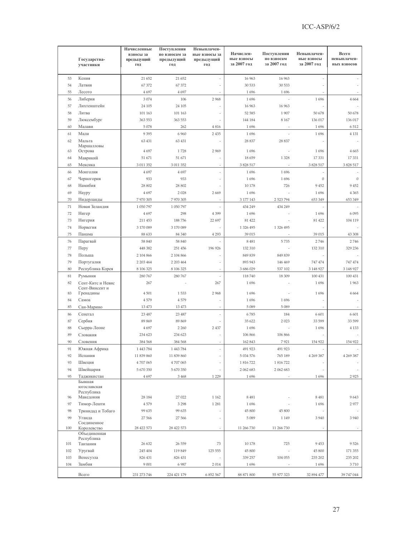|          | Государства-<br>участники   | Начисленные<br>взносы за<br>предыдущий<br>год | Поступления<br>по взносам за<br>предыдущий<br>год | Невыплачен-<br>ные взносы за<br>предыдущий<br>год | Начислен-<br>ные взносы<br>за 2007 год | Поступления<br>по взносам<br>за 2007 год | Невыплачен-<br>ные взносы<br>за 2007 год | Всего<br>невыплачен-<br>НЫХ ВЗНОСОВ |
|----------|-----------------------------|-----------------------------------------------|---------------------------------------------------|---------------------------------------------------|----------------------------------------|------------------------------------------|------------------------------------------|-------------------------------------|
|          |                             |                                               |                                                   |                                                   |                                        |                                          |                                          |                                     |
| 53       | Кения                       | 21 652                                        | 21 652                                            |                                                   | 16 963                                 | 16 963                                   |                                          |                                     |
| 54       | Латвия                      | 67 372                                        | 67 372                                            |                                                   | 30 533                                 | 30 533                                   |                                          |                                     |
| 55       | Лесото                      | 4 6 9 7                                       | 4697                                              |                                                   | 1696                                   | 1696                                     |                                          |                                     |
| 56       | Либерия                     | 3 0 7 4                                       | 106                                               | 2968                                              | 1696                                   |                                          | 1696                                     | 4 6 6 4                             |
| 57       | Лихтенштейн                 | 24 105                                        | 24 105                                            |                                                   | 16 963                                 | 16 963                                   |                                          |                                     |
| 58       | Литва                       | 101 163                                       | 101 163                                           |                                                   | 52 585                                 | 1907                                     | 50 678                                   | 50 678                              |
| 59<br>60 | Люксембург<br>Малави        | 363 553                                       | 363 553                                           |                                                   | 144 184                                | 8 1 6 7                                  | 136 017                                  | 136 017                             |
|          |                             | 5 0 78                                        | 262                                               | 4 8 1 6                                           | 1696                                   |                                          | 1696                                     | 6512<br>4 1 3 1                     |
| 61<br>62 | Мали                        | 9 3 9 5<br>63 431                             | 6 9 6 0<br>63 431                                 | 2 4 3 5                                           | 1696<br>28 8 37                        | 28 837                                   | 1696                                     |                                     |
|          | Мальта<br>Маршалловы        |                                               |                                                   |                                                   |                                        |                                          |                                          |                                     |
| 63       | Острова                     | 4 6 9 7                                       | 1728                                              | 2969                                              | 1696                                   |                                          | 1696                                     | 4 6 6 5                             |
| 64       | Маврикий                    | 51 671                                        | 51 671                                            |                                                   | 18659                                  | 1 3 2 8                                  | 17 331                                   | 17 331                              |
| 65       | Мексика                     | 3 011 352                                     | 3 011 352                                         |                                                   | 3 828 517                              |                                          | 3 8 28 5 17                              | 3 828 517                           |
| 66       | Монголия                    | 4 6 9 7                                       | 4 6 9 7                                           |                                                   | 1696                                   | 1696                                     |                                          |                                     |
| 67       | Черногория                  | 933                                           | 933                                               |                                                   | 1696                                   | 1696                                     | $\boldsymbol{0}$                         | $\theta$                            |
| 68       | Намибия                     | 28 802                                        | 28 802                                            |                                                   | 10 178                                 | 726                                      | 9 4 5 2                                  | 9 4 5 2                             |
| 69       | Haypy                       | 4 6 9 7                                       | 2 0 2 8                                           | 2669                                              | 1696                                   |                                          | 1696                                     | 4 3 6 5                             |
| 70       | Нидерланды                  | 7 970 305                                     | 7970305                                           |                                                   | 3 177 143                              | 2 523 794                                | 653 349                                  | 653 349                             |
| 71       | Новая Зеландия              | 1 050 797                                     | 1 050 797                                         |                                                   | 434 249                                | 434 249                                  |                                          |                                     |
| 72       | Нигер                       | 4697                                          | 298                                               | 4 3 9 9                                           | 1696                                   |                                          | 1696                                     | 6 0 9 5                             |
| 73       | Нигерия                     | 211 453                                       | 188756                                            | 22 697                                            | 81 422                                 |                                          | 81 422                                   | 104 119                             |
| 74       | Норвегия                    | 3 170 089                                     | 3 170 089                                         |                                                   | 1 326 495                              | 1 326 495                                |                                          |                                     |
| 75       | Панама                      | 88 633                                        | 84 340                                            | 4 2 9 3                                           | 39 015                                 |                                          | 39 015                                   | 43 308                              |
| 76       | Парагвай                    | 58 840                                        | 58 840                                            |                                                   | 8 4 8 1                                | 5735                                     | 2746                                     | 2746                                |
| 77       | Перу                        | 448 382                                       | 251 456                                           | 196 926                                           | 132 310                                |                                          | 132 310                                  | 329 236                             |
| 78       | Польша                      | 2 104 866                                     | 2 104 866                                         |                                                   | 849 839                                | 849 839                                  |                                          |                                     |
| 79       | Португалия                  | 2 203 464                                     | 2 2 0 3 4 6 4                                     |                                                   | 893 943                                | 146 469                                  | 747474                                   | 747 474                             |
| 80       | Республика Корея            | 8 106 325                                     | 8 106 325                                         |                                                   | 3 686 029                              | 537 102                                  | 3 148 9 27                               | 3 148 927                           |
| 81       | Румыния                     | 280 767                                       | 280 767                                           |                                                   | 118740                                 | 18 309                                   | 100 431                                  | 100 431                             |
| 82       | Сент-Китс и Невис           | 267                                           |                                                   | 267                                               | 1696                                   |                                          | 1696                                     | 1963                                |
| 83       | Сент-Винсент и<br>Гренадины | 4 5 0 1                                       | 1533                                              | 2968                                              | 1696                                   |                                          | 1696                                     | 4 6 6 4                             |
| 84       | Самоа                       | 4579                                          | 4579                                              |                                                   | 1696                                   | 1696                                     |                                          |                                     |
| 85       | Сан-Марино                  | 13 473                                        | 13 473                                            |                                                   | 5089                                   | 5 0 8 9                                  |                                          |                                     |
| 86       | Сенегал                     | 23 487                                        | 23 487                                            |                                                   | 6785                                   | 184                                      | 6 601                                    | 6 601                               |
| 87       | Сербия                      | 89 869                                        | 89 869                                            |                                                   | 35 622                                 | 2 0 2 3                                  | 33 599                                   | 33 599                              |
| 88       | Сьерра-Леоне                | 4 6 9 7                                       | 2 2 6 0                                           | 2 4 3 7                                           | 1696                                   |                                          | 1696                                     | 4 1 3 3                             |
| 89       | Словакия                    | 234 623                                       | 234 623                                           |                                                   | 106 866                                | 106 866                                  |                                          |                                     |
| 90       | Словения                    | 384 568                                       | 384 568                                           |                                                   | 162 843                                | 7921                                     | 154 922                                  | 154 922                             |
| 91       | Южная Африка                | 1 443 784                                     | 1 4 4 3 7 8 4                                     |                                                   | 491 923                                | 491 923                                  |                                          |                                     |
| 92       | Испания                     | 11 839 860                                    | 11 839 860                                        |                                                   | 5 034 576                              | 765 189                                  | 4 2 6 3 3 8 7                            | 4 269 387                           |
| 93       | Швеция                      | 4 707 065                                     | 4 707 065                                         |                                                   | 1 816 722                              | 1 816 722                                |                                          |                                     |
| 94       | Швейцария                   | 5 670 350                                     | 5 670 350                                         |                                                   | 2 062 683                              | 2 062 683                                |                                          |                                     |
| 95       | Таджикистан                 | 4 6 9 7                                       | 3 4 6 8                                           | 1 2 2 9                                           | 1696                                   |                                          | 1696                                     | 2925                                |
|          | Бывшая                      |                                               |                                                   |                                                   |                                        |                                          |                                          |                                     |
|          | югославская<br>Республика   |                                               |                                                   |                                                   |                                        |                                          |                                          |                                     |
| 96       | Македония                   | 28 18 4                                       | 27 022                                            | 1 1 6 2                                           | 8 4 8 1                                |                                          | 8481                                     | 9643                                |
| 97       | Тимор-Лешти                 | 4579                                          | 3 2 9 8                                           | 1 2 8 1                                           | 1696                                   |                                          | 1696                                     | 2977                                |
| 98       | Тринидад и Тобаго           | 99 635                                        | 99 635                                            |                                                   | 45 800                                 | 45 800                                   |                                          |                                     |
| 99       | Уганда                      | 27 566                                        | 27 566                                            |                                                   | 5089                                   | 1 1 4 9                                  | 3 9 4 0                                  | 3 9 4 0                             |
|          | Соединенное<br>Королевство  |                                               |                                                   |                                                   |                                        | 11 266 730                               |                                          |                                     |
| 100      | Объединенная                | 28 422 573                                    | 28 422 573                                        |                                                   | 11 266 730                             |                                          |                                          |                                     |
|          | Республика                  |                                               |                                                   |                                                   |                                        |                                          |                                          |                                     |
| 101      | Танзания                    | 26 632                                        | 26 559                                            | 73                                                | 10 178                                 | 725                                      | 9 4 5 3                                  | 9526                                |
| 102      | Уругвай                     | 245 404                                       | 119 849                                           | 125 555                                           | 45 800                                 |                                          | 45 800                                   | 171 355                             |
| 103      | Венесуэла                   | 826 431                                       | 826 431                                           |                                                   | 339 257                                | 104 055                                  | 235 202                                  | 235 202                             |
| 104      | Замбия                      | 9 0 0 1                                       | 6 9 8 7                                           | 2014                                              | 1696                                   |                                          | 1696                                     | 3710                                |
|          | Всего                       | 231 273 746                                   | 224 421 179                                       | 6 852 567                                         | 88 871 800                             | 55 977 323                               | 32 894 477                               | 39 747 044                          |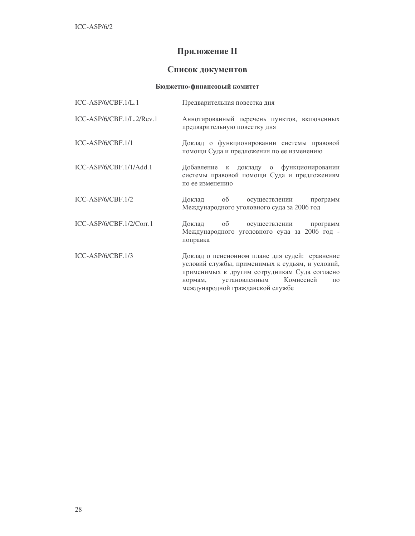## **Приложение II**

## Список документов

## Бюджетно-финансовый комитет

| ICC-ASP/6/CBF.1/L.1       | Предварительная повестка дня                                                                                                                                                                                                                       |
|---------------------------|----------------------------------------------------------------------------------------------------------------------------------------------------------------------------------------------------------------------------------------------------|
| ICC-ASP/6/CBF.1/L.2/Rev.1 | Аннотированный перечень пунктов, включенных<br>предварительную повестку дня                                                                                                                                                                        |
| ICC-ASP/6/CBF.1/1         | Доклад о функционировании системы правовой<br>помощи Суда и предложения по ее изменению                                                                                                                                                            |
| ICC-ASP/6/CBF.1/1/Add.1   | Добавление к докладу о функционировании<br>системы правовой помощи Суда и предложениям<br>по ее изменению                                                                                                                                          |
| ICC-ASP/6/CBF.1/2         | Доклад об осуществлении программ<br>Международного уголовного суда за 2006 год                                                                                                                                                                     |
| ICC-ASP/6/CBF.1/2/Corr.1  | Доклад об осуществлении программ<br>Международного уголовного суда за 2006 год -<br>поправка                                                                                                                                                       |
| ICC-ASP/6/CBF.1/3         | Доклад о пенсионном плане для судей: сравнение<br>условий службы, применимых к судьям, и условий,<br>применимых к другим сотрудникам Суда согласно<br>установленным Комиссией<br>нормам,<br>$\Pi$ <sup>O</sup><br>международной гражданской службе |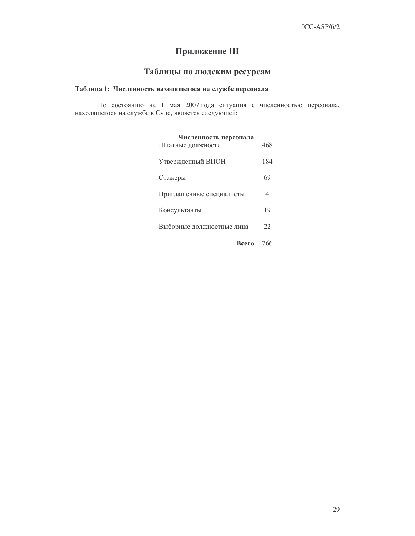## Приложение III

# Таблицы по людским ресурсам

## Таблица 1: Численность находящегося на службе персонала

По состоянию на 1 мая 2007 года ситуация с численностью персонала, находящегося на службе в Суде, является следующей:

| Численность персонала<br>Штатные должности | 468 |
|--------------------------------------------|-----|
| Утвержденный ВПОН                          | 184 |
| Стажеры                                    | 69  |
| Приглашенные специалисты                   | 4   |
| Консультанты                               | 19  |
| Выборные должностные лица                  | 22  |
| Всего                                      | 766 |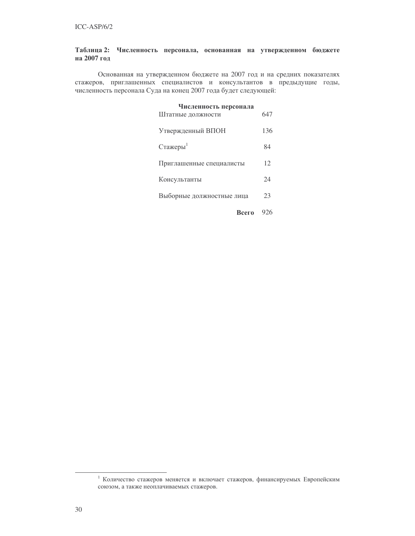## Таблица 2: Численность персонала, основанная на утвержденном бюджете на 2007 год

Основанная на утвержденном бюджете на 2007 год и на средних показателях стажеров, приглашенных специалистов и консультантов в предыдущие годы, численность персонала Суда на конец 2007 года будет следующей:

| Численность персонала<br>Штатные должности | 647 |
|--------------------------------------------|-----|
| Утвержденный ВПОН                          | 136 |
| Стажеры <sup>1</sup>                       | 84  |
| Приглашенные специалисты                   | 12  |
| Консультанты                               | 24  |
| Выборные должностные лица                  | 23  |
| Всего                                      | 926 |

<sup>1</sup> Количество стажеров меняется и включает стажеров, финансируемых Европейским союзом, а также неоплачиваемых стажеров.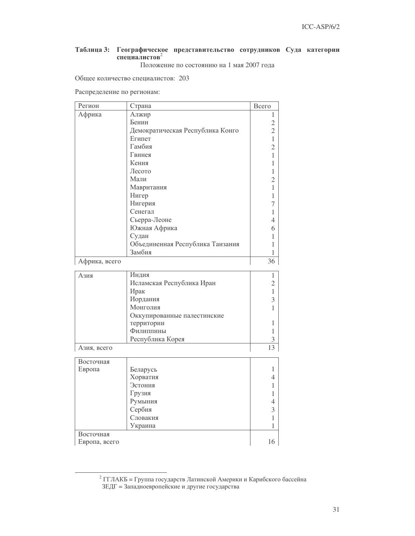## Таблица 3: Географическое представительство сотрудников Суда категории специалистов<sup>2</sup>

Положение по состоянию на 1 мая 2007 года

Общее количество специалистов: 203

Распределение по регионам:

| Регион        | Страна                           | Всего          |
|---------------|----------------------------------|----------------|
| Африка        | Алжир                            | 1              |
|               | Бенин                            | $\overline{c}$ |
|               | Демократическая Республика Конго | $\overline{2}$ |
|               | Египет                           | $\mathbf{1}$   |
|               | Гамбия                           | $\overline{2}$ |
|               | Гвинея                           | 1              |
|               | Кения                            | 1              |
|               | Лесото                           | 1              |
|               | Мали                             | $\overline{2}$ |
|               | Мавритания                       | 1              |
|               | Нигер                            | 1              |
|               | Нигерия                          | 7              |
|               | Сенегал                          | 1              |
|               | Сьерра-Леоне                     | 4              |
|               | Южная Африка                     | 6              |
|               | Судан                            | 1              |
|               | Объединенная Республика Танзания | 1              |
|               | Замбия                           | 1              |
| Африка, всего |                                  | 36             |
| Азия          | Индия                            | 1              |
|               | Исламская Республика Иран        | $\overline{2}$ |
|               | Ирак                             | $\mathbf{1}$   |
|               | Иордания                         | 3              |
|               | Монголия                         | 1              |
|               | Оккупированные палестинские      |                |
|               | территории                       | 1              |
|               | Филиппины                        | 1              |
|               | Республика Корея                 | 3              |
| Азия, всего   |                                  | 13             |
| Восточная     |                                  |                |
| Европа        | Беларусь                         | 1              |
|               | Хорватия                         | 4              |
|               | Эстония                          | 1              |
|               | Грузия                           | 1              |
|               | Румыния                          | 4              |
|               | Сербия                           | 3              |
|               | Словакия                         | $\mathbf{1}$   |
|               | Украина                          | 1              |
| Восточная     |                                  |                |
| Европа, всего |                                  | 16             |

<sup>&</sup>lt;sup>2</sup> ГГЛАКБ = Группа государств Латинской Америки и Карибского бассейна ЗЕДГ = Западноевропейские и другие государства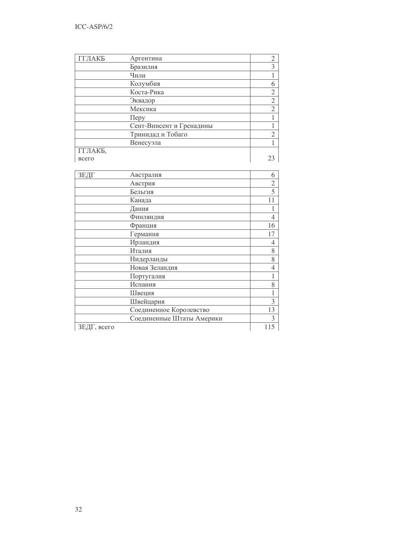| ГГЛАКБ  | Аргентина                | 2              |
|---------|--------------------------|----------------|
|         | Бразилия                 | 3              |
|         | Чили                     |                |
|         | Колумбия                 | 6              |
|         | Коста-Рика               | $\overline{2}$ |
|         | Эквадор                  | $\overline{2}$ |
|         | Мексика                  | $\overline{2}$ |
|         | Перу                     |                |
|         | Сент-Винсент и Гренадины |                |
|         | Тринидад и Тобаго        | $\overline{2}$ |
|         | Венесуэла                |                |
| ГГЛАКБ, |                          |                |
| всего   |                          |                |

| ЗЕДГ        | Австралия                 | 6              |
|-------------|---------------------------|----------------|
|             | Австрия                   | $\overline{2}$ |
|             | Бельгия                   | 5              |
|             | Канада                    | 11             |
|             | Дания                     |                |
|             | Финляндия                 | 4              |
|             | Франция                   | 16             |
|             | Германия                  | 17             |
|             | Ирландия                  | 4              |
|             | Италия                    | 8              |
|             | Нидерланды                | 8              |
|             | Новая Зеландия            | 4              |
|             | Португалия                |                |
|             | Испания                   | 8              |
|             | Швеция                    | 1              |
|             | Швейцария                 | 3              |
|             | Соединенное Королевство   | 13             |
|             | Соединенные Штаты Америки | 3              |
| ЗЕДГ, всего |                           | 115            |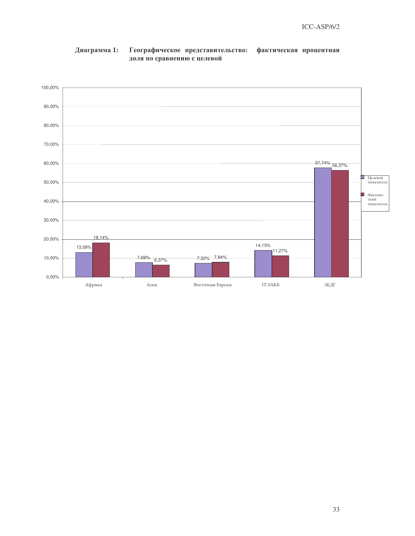

## Географическое представительство: Диаграмма 1: фактическая процентная доля по сравнению с целевой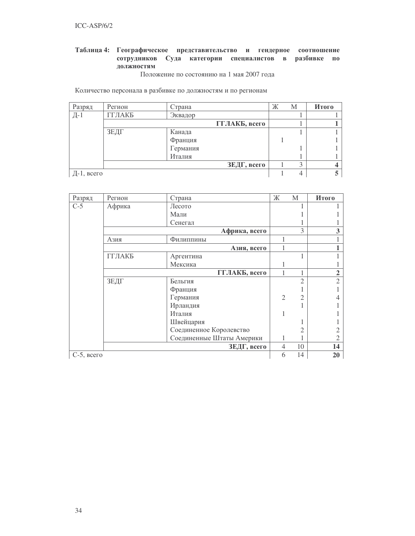## Таблица 4: Географическое представительство и гендерное соотношение сотрудников Суда категории специалистов в разбивке по должностям

Положение по состоянию на 1 мая 2007 года

Количество персонала в разбивке по должностям и по регионам

| Разряд     | Регион | Страна   |               | Ж | М                 | Итого |
|------------|--------|----------|---------------|---|-------------------|-------|
| Д-1        | ГГЛАКБ | Эквадор  |               |   |                   |       |
|            |        |          | ГГЛАКБ, всего |   |                   |       |
|            | ЗЕДГ   | Канада   |               |   |                   |       |
|            |        | Франция  |               |   |                   |       |
|            |        | Германия |               |   |                   |       |
|            |        | Италия   |               |   |                   |       |
|            |        |          | ЗЕДГ, всего   |   | $\mathbf{\Omega}$ |       |
| Д-1, всего |        |          |               |   |                   |       |

| Разряд        | Регион | Страна                    | Ж              | M              | Итого                  |
|---------------|--------|---------------------------|----------------|----------------|------------------------|
| $C-5$         | Африка | Лесото                    |                |                |                        |
|               |        | Мали                      |                |                |                        |
|               |        | Сенегал                   |                |                |                        |
|               |        | Африка, всего             |                | 3              | 3                      |
|               | Азия   | Филиппины                 |                |                |                        |
|               |        | Азия, всего               | 1              |                |                        |
|               | ГГЛАКБ | Аргентина                 |                |                |                        |
|               |        | Мексика                   |                |                |                        |
|               |        | ГГЛАКБ, всего             | 1              |                | $\overline{2}$         |
|               | ЗЕДГ   | Бельгия                   |                | $\mathcal{D}$  | $\mathcal{D}_{\alpha}$ |
|               |        | Франция                   |                |                |                        |
|               |        | Германия                  | $\overline{2}$ | $\overline{2}$ |                        |
|               |        | Ирландия                  |                |                |                        |
|               |        | Италия                    | 1              |                |                        |
|               |        | Швейцария                 |                |                |                        |
|               |        | Соединенное Королевство   |                |                |                        |
|               |        | Соединенные Штаты Америки | 1              |                |                        |
|               |        | ЗЕДГ, всего               | 4              | 10             | 14                     |
| $C-5$ , всего |        |                           | 6              | 14             | 20                     |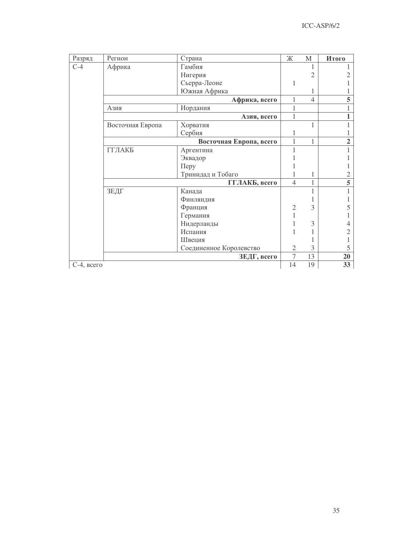| Разряд        | Регион           | Страна                  | Ж                                                                                                                                 | $\mathbf{M}$ | Итого          |
|---------------|------------------|-------------------------|-----------------------------------------------------------------------------------------------------------------------------------|--------------|----------------|
| $C-4$         | Африка           | Гамбия                  |                                                                                                                                   |              |                |
|               |                  | Нигерия                 |                                                                                                                                   | 2            | 2              |
|               |                  | Сьерра-Леоне            | $\overline{4}$<br>1<br>1<br>1<br>1<br>1<br>$\overline{4}$<br>1<br>1<br>3<br>$\overline{2}$<br>3<br>3<br>$\mathfrak{2}$<br>7<br>13 |              |                |
|               |                  | Южная Африка            |                                                                                                                                   |              |                |
|               |                  | Африка, всего           |                                                                                                                                   |              | 5              |
|               | Азия             | Иордания                |                                                                                                                                   |              |                |
|               |                  | Азия, всего             |                                                                                                                                   |              | 1              |
|               | Восточная Европа | Хорватия                |                                                                                                                                   |              |                |
|               |                  | Сербия                  |                                                                                                                                   |              |                |
|               |                  | Восточная Европа, всего |                                                                                                                                   |              | $\overline{2}$ |
|               | ГГЛАКБ           | Аргентина               |                                                                                                                                   |              |                |
|               |                  | Эквадор                 |                                                                                                                                   |              |                |
|               |                  | Перу                    |                                                                                                                                   |              |                |
|               |                  | Тринидад и Тобаго       |                                                                                                                                   |              | $\overline{2}$ |
|               |                  | ГГЛАКБ, всего           |                                                                                                                                   |              | $\overline{5}$ |
|               | ЗЕДГ             | Канада                  |                                                                                                                                   |              | 1              |
|               |                  | Финляндия               |                                                                                                                                   |              |                |
|               |                  | Франция                 |                                                                                                                                   |              | 5              |
|               |                  | Германия                |                                                                                                                                   |              |                |
|               |                  | Нидерланды              |                                                                                                                                   |              | 4              |
|               |                  | Испания                 |                                                                                                                                   |              | 2              |
|               |                  | Швеция                  |                                                                                                                                   |              |                |
|               |                  | Соединенное Королевство |                                                                                                                                   |              | 5              |
|               |                  | ЗЕДГ, всего             |                                                                                                                                   |              | 20             |
| $C-4$ , всего |                  |                         | 14                                                                                                                                | 19           | 33             |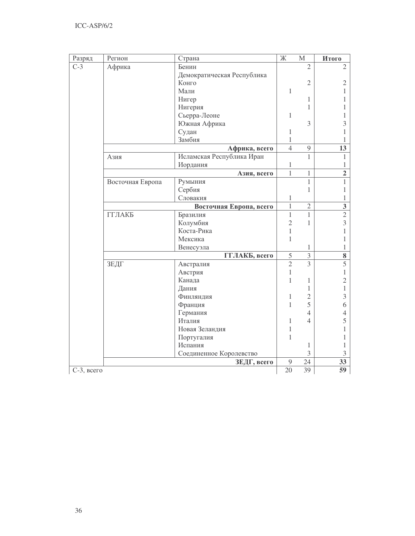| Разряд          | Регион           | Страна                     | $\mathbb X$    | $\mathbf M$    | Итого                   |
|-----------------|------------------|----------------------------|----------------|----------------|-------------------------|
| $C-3$           | Африка           | Бенин                      |                | $\overline{2}$ | $\overline{2}$          |
|                 |                  | Демократическая Республика |                |                |                         |
|                 |                  | Конго                      |                | $\overline{2}$ | $\mathfrak{2}$          |
|                 |                  | Мали                       | $\mathbf{1}$   |                | 1                       |
|                 |                  | Нигер                      |                | 1              |                         |
|                 |                  | Нигерия                    |                | 1              |                         |
|                 |                  | Сьерра-Леоне               | 1              |                |                         |
|                 |                  | Южная Африка               |                | 3              | 3                       |
|                 |                  | Судан                      | 1              |                |                         |
|                 |                  | Замбия                     | 1              |                |                         |
|                 |                  | Африка, всего              | $\overline{4}$ | 9              | 13                      |
|                 | Азия             | Исламская Республика Иран  |                | $\mathbf{1}$   | 1                       |
|                 |                  | Иордания                   | 1              |                | 1                       |
|                 |                  | Азия, всего                | $\mathbf{1}$   | 1              | $\overline{2}$          |
|                 | Восточная Европа | Румыния                    |                | $\mathbf 1$    | 1                       |
|                 |                  | Сербия                     |                | 1              | 1                       |
|                 |                  | Словакия                   | 1              |                | 1                       |
|                 |                  | Восточная Европа, всего    | $\mathbf{1}$   | $\overline{2}$ | $\overline{\mathbf{3}}$ |
|                 | ГГЛАКБ           | Бразилия                   | $\mathbf{1}$   | $\mathbf{1}$   | $\overline{2}$          |
|                 |                  | Колумбия                   | $\overline{2}$ | 1              | 3                       |
|                 |                  | Коста-Рика                 | $\mathbf{1}$   |                | 1                       |
|                 |                  | Мексика                    | 1              |                | 1                       |
|                 |                  | Венесуэла                  |                | 1              | 1                       |
|                 |                  | ГГЛАКБ, всего              | 5              | 3              | 8                       |
|                 | ЗЕДГ             | Австралия                  | $\overline{2}$ | $\overline{3}$ | $\overline{5}$          |
|                 |                  | Австрия                    | $\mathbf{1}$   |                | 1                       |
|                 |                  | Канада                     | 1              | 1              | $\overline{2}$          |
|                 |                  | Дания                      |                | 1              | 1                       |
|                 |                  | Финляндия                  | 1              | $\overline{2}$ | 3                       |
|                 |                  | Франция                    | 1              | 5              | 6                       |
|                 |                  | Германия                   |                | $\overline{4}$ | 4                       |
|                 |                  | Италия                     | 1              | $\overline{4}$ | 5                       |
|                 |                  | Новая Зеландия             | 1              |                |                         |
|                 |                  | Португалия                 | 1              |                |                         |
|                 |                  | Испания                    |                | 1              | 1                       |
|                 |                  | Соединенное Королевство    |                | 3              | 3                       |
|                 |                  | ЗЕДГ, всего                | 9              | 24             | 33                      |
| $C-3$ , $Bcero$ |                  |                            | 20             | 39             | $\overline{59}$         |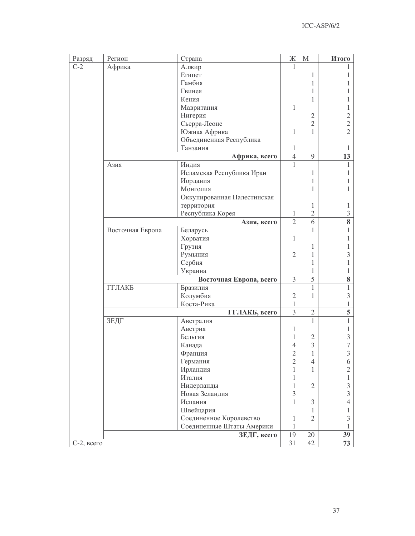| Разряд        | Регион           | Страна                                                                                                                                                                                                                                                                                                                                                                                                                                                                                                                                                                               | Ж              | $\mathbf M$    | Итого          |
|---------------|------------------|--------------------------------------------------------------------------------------------------------------------------------------------------------------------------------------------------------------------------------------------------------------------------------------------------------------------------------------------------------------------------------------------------------------------------------------------------------------------------------------------------------------------------------------------------------------------------------------|----------------|----------------|----------------|
| $C-2$         | Африка           | Алжир                                                                                                                                                                                                                                                                                                                                                                                                                                                                                                                                                                                | 1              |                |                |
|               |                  | Египет                                                                                                                                                                                                                                                                                                                                                                                                                                                                                                                                                                               |                | 1              |                |
|               |                  | Гамбия                                                                                                                                                                                                                                                                                                                                                                                                                                                                                                                                                                               |                | 1              |                |
|               |                  | Гвинея<br>Кения<br>Мавритания<br>Нигерия<br>Сьерра-Леоне<br>Южная Африка<br>Объединенная Республика<br>Танзания<br>Африка, всего<br>Индия<br>Исламская Республика Иран<br>Иордания<br>Монголия<br>Оккупированная Палестинская<br>территория<br>Республика Корея<br>Азия, всего<br>Беларусь<br>Хорватия<br>Грузия<br>Румыния<br>Сербия<br>Украина<br>Восточная Европа, всего<br>Бразилия<br>Колумбия<br>Коста-Рика<br>ГГЛАКБ, всего<br>Австралия<br>Австрия<br>Бельгия<br>Канада<br>Франция<br>Германия<br>Ирландия<br>Италия<br>Нидерланды<br>Новая Зеландия<br>Испания<br>Швейцария |                | 1              |                |
|               |                  |                                                                                                                                                                                                                                                                                                                                                                                                                                                                                                                                                                                      |                | 1              |                |
|               |                  |                                                                                                                                                                                                                                                                                                                                                                                                                                                                                                                                                                                      | 1              |                |                |
|               |                  |                                                                                                                                                                                                                                                                                                                                                                                                                                                                                                                                                                                      |                | $\mathfrak{2}$ | 2              |
|               |                  |                                                                                                                                                                                                                                                                                                                                                                                                                                                                                                                                                                                      |                | $\overline{2}$ | $\overline{c}$ |
|               |                  |                                                                                                                                                                                                                                                                                                                                                                                                                                                                                                                                                                                      | 1              | 1              | $\overline{2}$ |
|               |                  |                                                                                                                                                                                                                                                                                                                                                                                                                                                                                                                                                                                      |                |                |                |
|               |                  |                                                                                                                                                                                                                                                                                                                                                                                                                                                                                                                                                                                      | 1              |                | J.             |
|               |                  |                                                                                                                                                                                                                                                                                                                                                                                                                                                                                                                                                                                      | $\overline{4}$ | 9              | 13             |
|               | Азия             |                                                                                                                                                                                                                                                                                                                                                                                                                                                                                                                                                                                      | 1              |                | 1              |
|               |                  |                                                                                                                                                                                                                                                                                                                                                                                                                                                                                                                                                                                      |                | 1              | 1              |
|               |                  |                                                                                                                                                                                                                                                                                                                                                                                                                                                                                                                                                                                      |                | 1              |                |
|               |                  |                                                                                                                                                                                                                                                                                                                                                                                                                                                                                                                                                                                      |                | 1              | 1              |
|               |                  |                                                                                                                                                                                                                                                                                                                                                                                                                                                                                                                                                                                      |                |                |                |
|               |                  |                                                                                                                                                                                                                                                                                                                                                                                                                                                                                                                                                                                      |                | 1              | 1              |
|               |                  |                                                                                                                                                                                                                                                                                                                                                                                                                                                                                                                                                                                      | 1              | $\mathfrak{2}$ | 3              |
|               |                  |                                                                                                                                                                                                                                                                                                                                                                                                                                                                                                                                                                                      | $\overline{2}$ | 6              | 8              |
|               | Восточная Европа |                                                                                                                                                                                                                                                                                                                                                                                                                                                                                                                                                                                      |                | 1              | 1              |
|               |                  |                                                                                                                                                                                                                                                                                                                                                                                                                                                                                                                                                                                      | $\mathbf{1}$   |                | 1              |
|               |                  |                                                                                                                                                                                                                                                                                                                                                                                                                                                                                                                                                                                      |                | 1              | 1              |
|               |                  |                                                                                                                                                                                                                                                                                                                                                                                                                                                                                                                                                                                      | $\overline{2}$ | 1              | 3              |
|               |                  |                                                                                                                                                                                                                                                                                                                                                                                                                                                                                                                                                                                      |                | 1              | 1              |
|               |                  |                                                                                                                                                                                                                                                                                                                                                                                                                                                                                                                                                                                      |                | 1              | 1              |
|               |                  |                                                                                                                                                                                                                                                                                                                                                                                                                                                                                                                                                                                      | 3              | 5              | 8              |
|               | ГГЛАКБ           |                                                                                                                                                                                                                                                                                                                                                                                                                                                                                                                                                                                      |                | 1              | $\mathbf{1}$   |
|               |                  |                                                                                                                                                                                                                                                                                                                                                                                                                                                                                                                                                                                      | $\overline{2}$ | $\mathbf{1}$   | 3              |
|               |                  |                                                                                                                                                                                                                                                                                                                                                                                                                                                                                                                                                                                      | $\mathbf{1}$   |                | 1              |
|               |                  |                                                                                                                                                                                                                                                                                                                                                                                                                                                                                                                                                                                      | 3              | $\mathfrak{2}$ | 5              |
|               | ЗЕДГ             |                                                                                                                                                                                                                                                                                                                                                                                                                                                                                                                                                                                      |                | $\mathbf{1}$   | $\mathbf{1}$   |
|               |                  |                                                                                                                                                                                                                                                                                                                                                                                                                                                                                                                                                                                      | 1              |                | 1              |
|               |                  |                                                                                                                                                                                                                                                                                                                                                                                                                                                                                                                                                                                      | 1              | $\mathfrak{2}$ | 3              |
|               |                  |                                                                                                                                                                                                                                                                                                                                                                                                                                                                                                                                                                                      | $\overline{4}$ | 3              | 7              |
|               |                  |                                                                                                                                                                                                                                                                                                                                                                                                                                                                                                                                                                                      | $\overline{2}$ | 1              | 3              |
|               |                  |                                                                                                                                                                                                                                                                                                                                                                                                                                                                                                                                                                                      | $\overline{2}$ | $\overline{4}$ | 6              |
|               |                  |                                                                                                                                                                                                                                                                                                                                                                                                                                                                                                                                                                                      | 1              | 1              | $\overline{2}$ |
|               |                  |                                                                                                                                                                                                                                                                                                                                                                                                                                                                                                                                                                                      | 1              |                | 1              |
|               |                  |                                                                                                                                                                                                                                                                                                                                                                                                                                                                                                                                                                                      | $\mathbf{1}$   | $\mathfrak{2}$ | $\mathfrak{Z}$ |
|               |                  |                                                                                                                                                                                                                                                                                                                                                                                                                                                                                                                                                                                      | 3              |                | 3              |
|               |                  |                                                                                                                                                                                                                                                                                                                                                                                                                                                                                                                                                                                      | 1              | 3              | 4              |
|               |                  |                                                                                                                                                                                                                                                                                                                                                                                                                                                                                                                                                                                      |                | 1              | T.             |
|               |                  | Соединенное Королевство                                                                                                                                                                                                                                                                                                                                                                                                                                                                                                                                                              | 1              | $\mathfrak{2}$ | 3              |
|               |                  | Соединенные Штаты Америки                                                                                                                                                                                                                                                                                                                                                                                                                                                                                                                                                            | 1              |                | 1              |
|               |                  | ЗЕДГ, всего                                                                                                                                                                                                                                                                                                                                                                                                                                                                                                                                                                          | 19             | $20\,$         | 39             |
| $C-2$ , всего |                  |                                                                                                                                                                                                                                                                                                                                                                                                                                                                                                                                                                                      | 31             | 42             | 73             |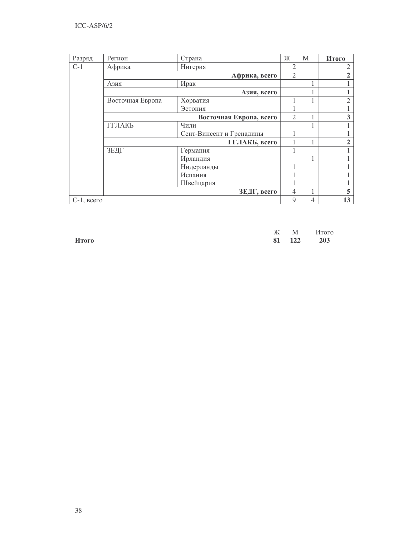| Разряд          | Регион           | Страна                   | Ж              | М | Итого          |
|-----------------|------------------|--------------------------|----------------|---|----------------|
| $C-1$           | Африка           | Нигерия                  | 2              |   | $\mathfrak{2}$ |
|                 |                  | Африка, всего            | $\mathfrak{2}$ |   | $\overline{2}$ |
|                 | Азия             | Ирак                     |                |   |                |
|                 |                  | Азия, всего              |                |   |                |
|                 | Восточная Европа | Хорватия                 |                |   | $\overline{2}$ |
|                 |                  | Эстония                  |                |   |                |
|                 |                  | Восточная Европа, всего  | $\overline{2}$ |   | 3              |
|                 | <b>ГГЛАКБ</b>    | Чили                     |                |   |                |
|                 |                  | Сент-Винсент и Гренадины |                |   |                |
|                 |                  | ГГЛАКБ, всего            |                |   | $\overline{2}$ |
|                 | ЗЕДГ             | Германия                 |                |   |                |
|                 |                  | Ирландия                 |                |   |                |
|                 |                  | Нидерланды               |                |   |                |
|                 |                  | Испания                  |                |   |                |
|                 |                  | Швейцария                |                |   |                |
|                 |                  | ЗЕДГ, всего              | 4              |   | 5              |
| $C-1$ , $Bcero$ |                  |                          | 9              | 4 | 13             |

|       |  | Ж М Итого  |
|-------|--|------------|
| Итого |  | 81 122 203 |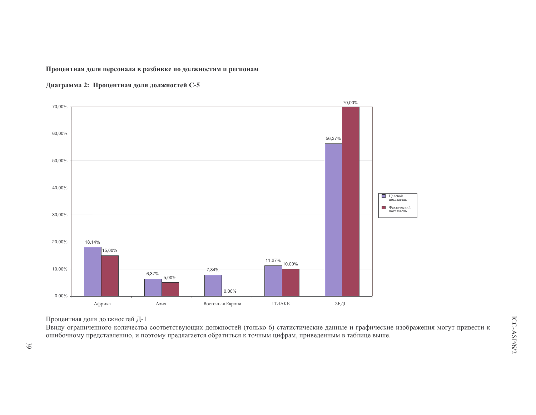Процентная доля персонала в разбивке по должностям и регионам





Процентная доля должностей Д-1

Ввиду ограниченного количества соответствующих должностей (только 6) статистические данные и графические изображения могут привести к ошибочному представлению, и поэтому предлагается обратиться к точным цифрам, приведенным в таблице выше.

 $39$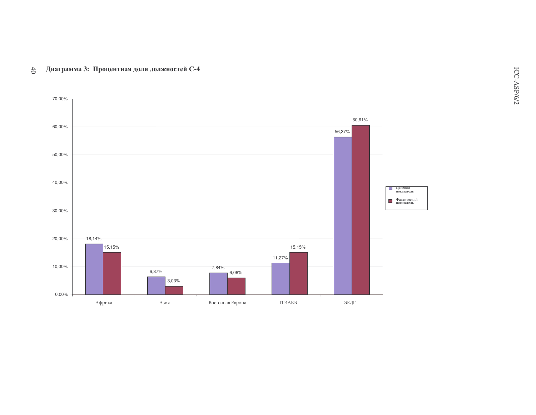70,00% 60,61% 60,00% 56,37% 50,00% 40,00% Плелевой показатель **Д** Фактический  $30,00\%$ 20,00% 18,14% 15,15% 15,15% 11,27% 10,00% 7,84% 6,37%  $6,06%$  $3,03%$  $0,00%$ 

Восточная Европа

 $\Gamma\Gamma\varLambda\text{AKB}$ 

 $3EAT$ 

## Диаграмма 3: Процентная доля должностей С-4  $40$

Африка

 $\rm A311$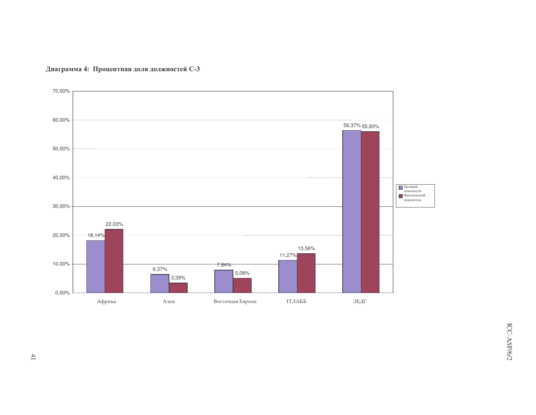

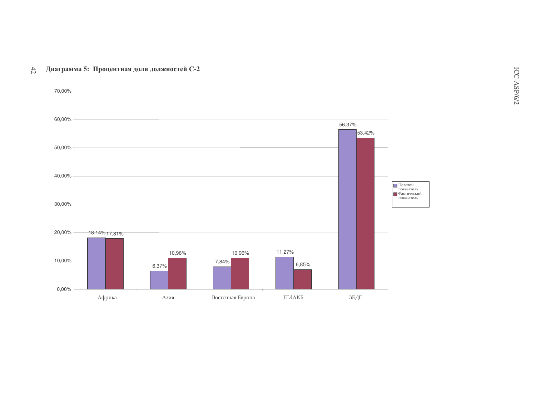

## Диаграмма 5: Процентная доля должностей С-2  $42\,$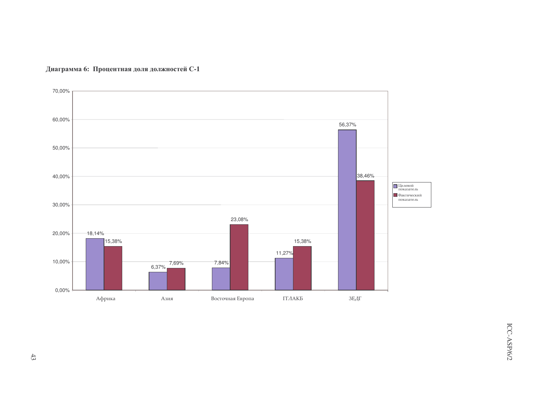

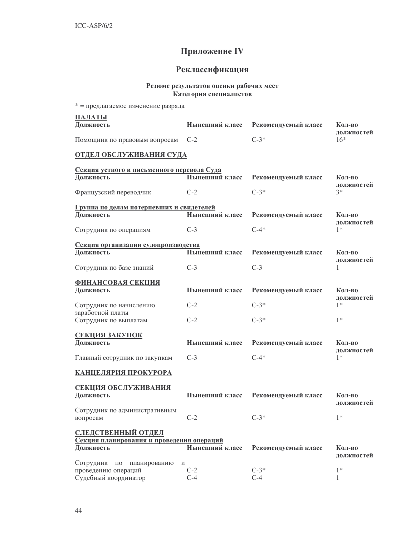## Приложение IV

## Реклассификация

## Резюме результатов оценки рабочих мест Категория специалистов

| * = предлагаемое изменение разряда                          |                |                     |                      |
|-------------------------------------------------------------|----------------|---------------------|----------------------|
| ПАЛАТЫ                                                      |                |                     |                      |
| Должность                                                   | Нынешний класс | Рекомендуемый класс | Кол-во               |
| Помощник по правовым вопросам                               | $C-2$          | $C-3*$              | должностей<br>$16*$  |
| ОТДЕЛ ОБСЛУЖИВАНИЯ СУДА                                     |                |                     |                      |
|                                                             |                |                     |                      |
| Секция устного и письменного перевода Суда<br>Должность     | Нынешний класс | Рекомендуемый класс | Кол-во               |
|                                                             |                |                     | должностей           |
| Французский переводчик                                      | $C-2$          | $C-3*$              | $3*$                 |
| Группа по делам потерпевших и свидетелей                    |                |                     |                      |
| Должность                                                   | Нынешний класс | Рекомендуемый класс | Кол-во               |
| Сотрудник по операциям                                      | $C-3$          | $C-4*$              | должностей<br>$1*$   |
| Секция организации судопроизводства                         |                |                     |                      |
| Должность                                                   | Нынешний класс | Рекомендуемый класс | Кол-во<br>должностей |
| Сотрудник по базе знаний                                    | $C-3$          | $C-3$               | 1                    |
| <b>ФИНАНСОВАЯ СЕКЦИЯ</b>                                    |                |                     |                      |
| Должность                                                   | Нынешний класс | Рекомендуемый класс | Кол-во<br>должностей |
| Сотрудник по начислению                                     | $C-2$          | $C-3*$              | $1*$                 |
| заработной платы<br>Сотрудник по выплатам                   | $C-2$          | $C-3*$              | $1*$                 |
| <b>СЕКЦИЯ ЗАКУПОК</b>                                       |                |                     |                      |
| Должность                                                   | Нынешний класс | Рекомендуемый класс | Кол-во               |
| Главный сотрудник по закупкам                               | $C-3$          | $C-4*$              | должностей<br>$1*$   |
| КАНЦЕЛЯРИЯ ПРОКУРОРА                                        |                |                     |                      |
| СЕКЦИЯ ОБСЛУЖИВАНИЯ                                         |                |                     |                      |
| Должность                                                   | Нынешний класс | Рекомендуемый класс | Кол-во               |
|                                                             |                |                     | должностей           |
| Сотрудник по административным<br>вопросам                   | $C-2$          | $C-3*$              | $1*$                 |
| <b>СЛЕДСТВЕННЫЙ ОТДЕЛ</b>                                   |                |                     |                      |
| Секция планирования и проведения операций                   |                |                     |                      |
| Должность                                                   | Нынешний класс | Рекомендуемый класс | Кол-во<br>должностей |
| Сотрудник<br>$\Pi$ O<br>планированию<br>проведению операций | И<br>$C-2$     | $C-3*$              | $1*$                 |
| Судебный координатор                                        | $C-4$          | $C-4$               | 1                    |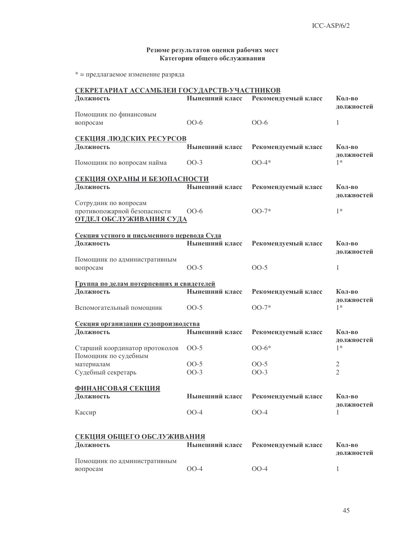## Резюме результатов оценки рабочих мест Категория общего обслуживания

\* = предлагаемое изменение разряда

| СЕКРЕТАРИАТ АССАМБЛЕИ ГОСУДАРСТВ-УЧАСТНИКОВ            |                |                     |                      |
|--------------------------------------------------------|----------------|---------------------|----------------------|
| Должность                                              | Нынешний класс | Рекомендуемый класс | Кол-во<br>должностей |
| Помощник по финансовым                                 |                |                     |                      |
| вопросам                                               | $OO-6$         | $OO-6$              | 1                    |
| СЕКЦИЯ ЛЮДСКИХ РЕСУРСОВ                                |                |                     |                      |
| Должность                                              | Нынешний класс | Рекомендуемый класс | Кол-во               |
|                                                        |                |                     | должностей           |
| Помощник по вопросам найма                             | $OO-3$         | $00-4*$             | $1*$                 |
| СЕКЦИЯ ОХРАНЫ И БЕЗОПАСНОСТИ                           |                |                     |                      |
| Должность                                              | Нынешний класс | Рекомендуемый класс | Кол-во               |
|                                                        |                |                     | должностей           |
| Сотрудник по вопросам                                  |                |                     |                      |
| противопожарной безопасности                           | $OO-6$         | $OO-7*$             | $1*$                 |
| <b>ОТДЕЛ ОБСЛУЖИВАНИЯ СУДА</b>                         |                |                     |                      |
| Секция устного и письменного перевода Суда             |                |                     |                      |
| Должность                                              | Нынешний класс | Рекомендуемый класс | Кол-во               |
|                                                        |                |                     | должностей           |
| Помощник по административным                           |                |                     |                      |
| вопросам                                               | $OO-5$         | $OO-5$              | 1                    |
| Группа по делам потерпевших и свидетелей               |                |                     |                      |
| Должность                                              | Нынешний класс | Рекомендуемый класс | Кол-во               |
|                                                        |                |                     | должностей           |
| Вспомогательный помощник                               | $00-5$         | $OO-7*$             | $1*$                 |
|                                                        |                |                     |                      |
| Секция организации судопроизводства                    |                |                     |                      |
| Должность                                              | Нынешний класс | Рекомендуемый класс | Кол-во               |
|                                                        |                |                     | должностей<br>$1*$   |
| Старший координатор протоколов<br>Помощник по судебным | $OO-5$         | $00-6*$             |                      |
| материалам                                             | $OO-5$         | $OO-5$              | $\overline{2}$       |
| Судебный секретарь                                     | $OO-3$         | $OO-3$              | $\overline{2}$       |
|                                                        |                |                     |                      |
| <b>ФИНАНСОВАЯ СЕКЦИЯ</b>                               |                |                     |                      |
| Должность                                              | Нынешний класс | Рекомендуемый класс | Кол-во               |
|                                                        |                |                     | должностей           |
| Кассир                                                 | $OO-4$         | $OO-4$              | 1                    |
|                                                        |                |                     |                      |
| СЕКЦИЯ ОБЩЕГО ОБСЛУЖИВАНИЯ                             |                |                     |                      |
| Должность                                              | Нынешний класс | Рекомендуемый класс | Кол-во               |
|                                                        |                |                     | должностей           |
| Помощник по административным                           |                |                     |                      |
| вопросам                                               | $OO-4$         | $OO-4$              | 1                    |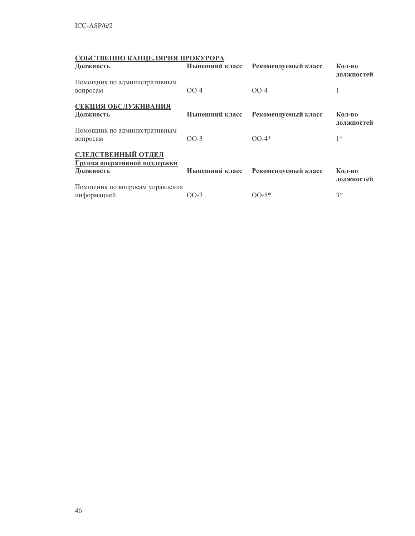## СОБСТВЕННО КАНЦЕЛЯРИЯ ПРОКУРОРА

| Должность                                                              | Нынешний класс | Рекомендуемый класс | Кол-во<br>должностей |
|------------------------------------------------------------------------|----------------|---------------------|----------------------|
| Помощник по административным<br>вопросам                               | $00-4$         | $OO-4$              |                      |
| СЕКЦИЯ ОБСЛУЖИВАНИЯ<br>Должность                                       | Нынешний класс | Рекомендуемый класс | Кол-во<br>должностей |
| Помощник по административным<br>вопросам                               | $00-3$         | $00-4*$             | $1*$                 |
| <b>СЛЕДСТВЕННЫЙ ОТДЕЛ</b><br>Группа оперативной поддержки<br>Должность | Нынешний класс | Рекомендуемый класс | Кол-во<br>должностей |
| Помощник по вопросам управления<br>информацией                         | $00-3$         | $OO-5*$             | $3*$                 |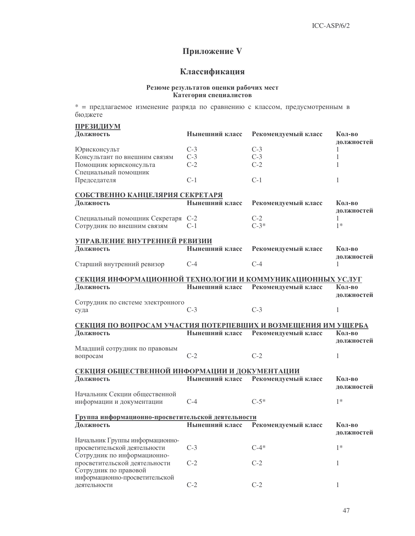## Приложение V

## Классификация

## Резюме результатов оценки рабочих мест Категория специалистов

\* = предлагаемое изменение разряда по сравнению с классом, предусмотренным в бюджете

| <b>ПРЕЗИДИУМ</b>                                                           |                |                     |                      |
|----------------------------------------------------------------------------|----------------|---------------------|----------------------|
| Должность                                                                  | Нынешний класс | Рекомендуемый класс | Кол-во<br>должностей |
| Юрисконсульт                                                               | $C-3$          | $C-3$               | 1                    |
| Консультант по внешним связям                                              | $C-3$          | $C-3$               | 1                    |
| Помощник юрисконсульта                                                     | $C-2$          | $C-2$               | 1                    |
| Специальный помощник                                                       |                |                     |                      |
| Председателя                                                               | $C-1$          | $C-1$               | 1                    |
| СОБСТВЕННО КАНЦЕЛЯРИЯ СЕКРЕТАРЯ                                            |                |                     |                      |
| Должность                                                                  | Нынешний класс | Рекомендуемый класс | Кол-во               |
|                                                                            |                |                     | должностей           |
| Специальный помощник Секретаря С-2                                         |                | $C-2$               | 1                    |
| Сотрудник по внешним связям                                                | $C-1$          | $C-3*$              | $1*$                 |
|                                                                            |                |                     |                      |
| УПРАВЛЕНИЕ ВНУТРЕННЕЙ РЕВИЗИИ                                              |                |                     |                      |
| Должность                                                                  | Нынешний класс | Рекомендуемый класс | Кол-во               |
|                                                                            | $C-4$          | $C-4$               | должностей           |
| Старший внутренний ревизор                                                 |                |                     | 1                    |
| СЕКЦИЯ ИНФОРМАЦИОННОЙ ТЕХНОЛОГИИ И КОММУНИКАЦИОННЫХ УСЛУГ                  |                |                     |                      |
| Должность                                                                  | Нынешний класс | Рекомендуемый класс | Кол-во               |
|                                                                            |                |                     | должностей           |
| Сотрудник по системе электронного                                          |                |                     |                      |
| суда                                                                       | $C-3$          | $C-3$               | $\mathbf{1}$         |
|                                                                            |                |                     |                      |
| СЕКЦИЯ ПО ВОПРОСАМ УЧАСТИЯ ПОТЕРПЕВШИХ И ВОЗМЕЩЕНИЯ ИМ УЩЕРБА<br>Должность | Нынешний класс | Рекомендуемый класс | Кол-во               |
|                                                                            |                |                     | должностей           |
| Младший сотрудник по правовым                                              |                |                     |                      |
| вопросам                                                                   | $C-2$          | $C-2$               | 1                    |
|                                                                            |                |                     |                      |
| СЕКЦИЯ ОБЩЕСТВЕННОЙ ИНФОРМАЦИИ И ДОКУМЕНТАЦИИ                              |                |                     |                      |
| Должность                                                                  | Нынешний класс | Рекомендуемый класс | Кол-во               |
|                                                                            |                |                     | должностей           |
| Начальник Секции общественной                                              | $C-4$          | $C-5*$              | $1*$                 |
| информации и документации                                                  |                |                     |                      |
| Группа информационно-просветительской деятельности                         |                |                     |                      |
| Должность                                                                  | Нынешний класс | Рекомендуемый класс | Кол-во               |
|                                                                            |                |                     | должностей           |
| Начальник Группы информационно-                                            |                |                     |                      |
| просветительской деятельности                                              | $C-3$          | $C-4*$              | $1*$                 |
| Сотрудник по информационно-                                                |                |                     |                      |
| просветительской деятельности                                              | $C-2$          | $C-2$               | 1                    |
| Сотрудник по правовой<br>информационно-просветительской                    |                |                     |                      |
| деятельности                                                               | $C-2$          | $C-2$               |                      |
|                                                                            |                |                     |                      |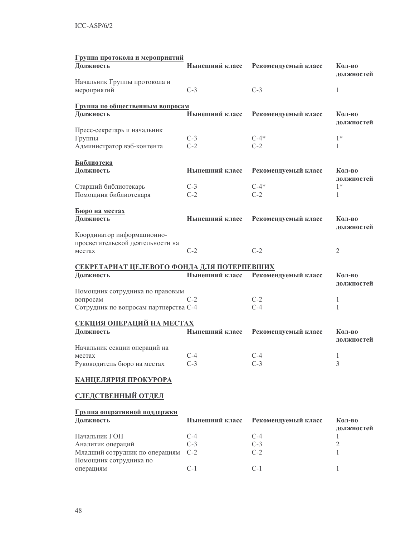| Группа протокола и мероприятий                      |                |                     |                      |
|-----------------------------------------------------|----------------|---------------------|----------------------|
| Должность                                           | Нынешний класс | Рекомендуемый класс | Кол-во<br>должностей |
| Начальник Группы протокола и<br>мероприятий         | $C-3$          | $C-3$               | 1                    |
| Группа по общественным вопросам                     |                |                     |                      |
| Должность                                           | Нынешний класс | Рекомендуемый класс | Кол-во<br>должностей |
| Пресс-секретарь и начальник                         |                |                     |                      |
| Группы                                              | $C-3$          | $C-4*$              | $1*$                 |
| Администратор вэб-контента                          | $C-2$          | $C-2$               | 1                    |
| <b>Библиотека</b><br>Должность                      | Нынешний класс | Рекомендуемый класс | Кол-во               |
|                                                     |                |                     | должностей           |
| Старший библиотекарь                                | $C-3$          | $C-4*$              | $1*$                 |
| Помощник библиотекаря                               | $C-2$          | $C-2$               | 1                    |
| Бюро на местах                                      |                |                     |                      |
| Должность                                           | Нынешний класс | Рекомендуемый класс | Кол-во<br>должностей |
| Координатор информационно-                          |                |                     |                      |
| просветительской деятельности на                    |                |                     |                      |
| местах                                              | $C-2$          | $C-2$               | $\overline{2}$       |
| СЕКРЕТАРИАТ ЦЕЛЕВОГО ФОНДА ДЛЯ ПОТЕРПЕВШИХ          |                |                     |                      |
| Должность                                           | Нынешний класс | Рекомендуемый класс | Кол-во               |
|                                                     |                |                     | должностей           |
| Помощник сотрудника по правовым                     |                |                     |                      |
|                                                     |                |                     |                      |
| вопросам                                            | $C-2$          | $C-2$               | 1                    |
| Сотрудник по вопросам партнерства С-4               |                | $C-4$               | 1                    |
|                                                     |                |                     |                      |
| <u>СЕКЦИЯ ОПЕРАЦИЙ НА МЕСТАХ</u><br>Должность       | Нынешний класс | Рекомендуемый класс | Кол-во<br>должностей |
| Начальник секции операций на                        |                |                     |                      |
| местах                                              | $C-4$          | $C-4$               | 1                    |
| Руководитель бюро на местах                         | $C-3$          | $C-3$               | 3                    |
| <u>КАНЦЕЛЯРИЯ ПРОКУРОРА</u>                         |                |                     |                      |
| СЛЕДСТВЕННЫЙ ОТДЕЛ                                  |                |                     |                      |
| Группа оперативной поддержки<br>Должность           | Нынешний класс | Рекомендуемый класс | Кол-во               |
| Начальник ГОП                                       | $C-4$          | $C-4$               | должностей<br>1      |
|                                                     | $C-3$          | $C-3$               | $\overline{2}$       |
| Аналитик операций<br>Младший сотрудник по операциям | $C-2$          | $C-2$               | 1                    |
| Помощник сотрудника по                              |                |                     |                      |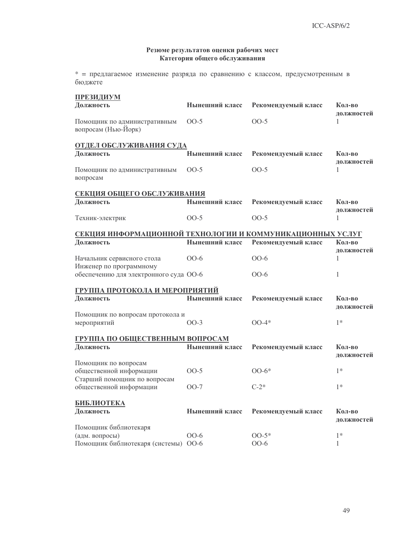## Резюме результатов оценки рабочих мест Категория общего обслуживания

\* = предлагаемое изменение разряда по сравнению с классом, предусмотренным в бюджете

| <b>ПРЕЗИДИУМ</b>                                          |                |                     |                      |  |  |
|-----------------------------------------------------------|----------------|---------------------|----------------------|--|--|
| Должность                                                 | Нынешний класс | Рекомендуемый класс | Кол-во<br>должностей |  |  |
| Помощник по административным<br>вопросам (Нью-Йорк)       | $00-5$         | $OO-5$              | 1                    |  |  |
| <b>ОТДЕЛ ОБСЛУЖИВАНИЯ СУДА</b><br>Должность               | Нынешний класс | Рекомендуемый класс | Кол-во               |  |  |
|                                                           |                |                     | должностей           |  |  |
| Помощник по административным<br>вопросам                  | $OO-5$         | $00-5$              | 1                    |  |  |
| СЕКЦИЯ ОБЩЕГО ОБСЛУЖИВАНИЯ                                |                |                     |                      |  |  |
| Должность                                                 | Нынешний класс | Рекомендуемый класс | Кол-во<br>должностей |  |  |
| Техник-электрик                                           | $00-5$         | $00-5$              | 1                    |  |  |
| СЕКЦИЯ ИНФОРМАЦИОННОЙ ТЕХНОЛОГИИ И КОММУНИКАЦИОННЫХ УСЛУГ |                |                     |                      |  |  |
| Должность                                                 | Нынешний класс | Рекомендуемый класс | Кол-во               |  |  |
| Начальник сервисного стола<br>Инженер по программному     | $00-6$         | $00-6$              | должностей<br>1      |  |  |
| обеспечению для электронного суда ОО-6                    |                | $00-6$              | $\mathbf{1}$         |  |  |
| <u>ГРУППА ПРОТОКОЛА И МЕРОПРИЯТИЙ</u>                     |                |                     |                      |  |  |
| Должность                                                 | Нынешний класс | Рекомендуемый класс | Кол-во<br>должностей |  |  |
| Помощник по вопросам протокола и<br>мероприятий           | $OO-3$         | $00-4*$             | $1*$                 |  |  |
| ГРУППА ПО ОБЩЕСТВЕННЫМ ВОПРОСАМ                           |                |                     |                      |  |  |
| Должность                                                 | Нынешний класс | Рекомендуемый класс | Кол-во<br>должностей |  |  |
| Помощник по вопросам<br>общественной информации           | $00-5$         | $00-6*$             | $1*$                 |  |  |
| Старший помощник по вопросам                              |                |                     |                      |  |  |
| общественной информации                                   | $OO-7$         | $C-2*$              | $1*$                 |  |  |
| <b>БИБЛИОТЕКА</b>                                         |                |                     |                      |  |  |
| Должность                                                 | Нынешний класс | Рекомендуемый класс | Кол-во<br>должностей |  |  |
| Помощник библиотекаря                                     |                |                     |                      |  |  |
| (адм. вопросы)<br>Помощник библиотекаря (системы) ОО-6    | $00-6$         | $OO-5*$<br>$OO-6$   | $1*$<br>1            |  |  |
|                                                           |                |                     |                      |  |  |